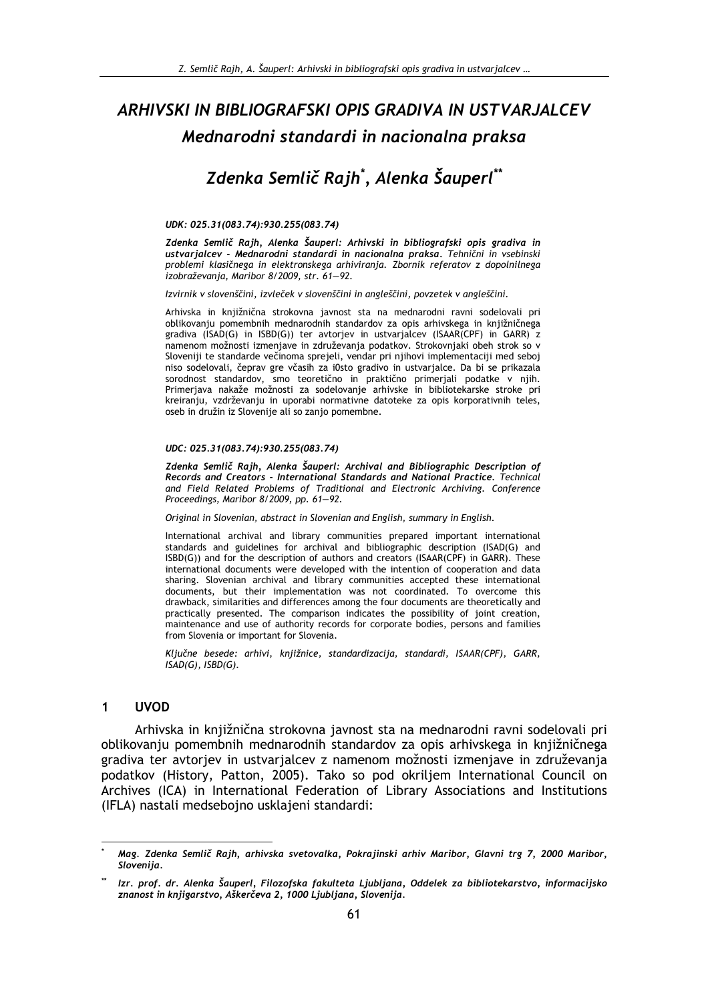# ARHIVSKI IN BIBLIOGRAFSKI OPIS GRADIVA IN USTVARJALCEV Mednarodni standardi in nacionalna praksa

# Zdenka Semlič Rajh<sup>\*</sup>, Alenka Šauperl<sup>\*\*</sup>

### UDK: 025.31(083.74):930.255(083.74)

Zdenka Semlič Rajh, Alenka Šauperl: Arhivski in bibliografski opis gradiva in ustvarjalcev - Mednarodni standardi in nacionalna praksa. Tehnični in vsebinski problemi klasičnega in elektronskega arhiviranja. Zbornik referatov z dopolnilnega izobraževanja, Maribor 8/2009, str. 61-92.

Izvirnik v slovenščini, izvleček v slovenščini in angleščini, povzetek v angleščini.

Arhivska in knjižnična strokovna javnost sta na mednarodni ravni sodelovali pri oblikovanju pomembnih mednarodnih standardov za opis arhivskega in knjižničnega gradiva (ISAD(G) in ISBD(G)) ter avtorjev in ustvarjalcev (ISAAR(CPF) in GARR) z namenom možnosti izmenjave in združevanja podatkov. Strokovnjaki obeh strok so v Sloveniji te standarde večinoma sprejeli, vendar pri njihovi implementaciji med seboj niso sodelovali, čeprav gre včasih za i0sto gradivo in ustvarjalce. Da bi se prikazala sorodnost standardov, smo teoretično in praktično primerjali podatke v njih. Primerjava nakaže možnosti za sodelovanje arhivske in bibliotekarske stroke pri kreiranju, vzdrževanju in uporabi normativne datoteke za opis korporativnih teles, oseb in družin iz Slovenije ali so zanio pomembne.

### UDC: 025.31(083.74):930.255(083.74)

Zdenka Semlič Rajh, Alenka Šauperl: Archival and Bibliographic Description of Records and Creators - International Standards and National Practice. Technical and Field Related Problems of Traditional and Electronic Archiving. Conference Proceedings, Maribor 8/2009, pp. 61-92.

Original in Slovenian, abstract in Slovenian and English, summary in English.

International archival and library communities prepared important international standards and guidelines for archival and bibliographic description (ISAD(G) and ISBD(G)) and for the description of authors and creators (ISAAR(CPF) in GARR). These international documents were developed with the intention of cooperation and data sharing. Slovenian archival and library communities accepted these international documents, but their implementation was not coordinated. To overcome this drawback, similarities and differences among the four documents are theoretically and practically presented. The comparison indicates the possibility of joint creation, maintenance and use of authority records for corporate bodies, persons and families from Slovenia or important for Slovenia.

Ključne besede: arhivi, knjižnice, standardizacija, standardi, ISAAR(CPF), GARR,  $ISAD(G)$ ,  $ISBD(G)$ .

#### $\mathbf{1}$ **UVOD**

Arhivska in knjižnična strokovna javnost sta na mednarodni ravni sodelovali pri oblikovanju pomembnih mednarodnih standardov za opis arhivskega in knjižničnega gradiva ter avtorjev in ustvarjalcev z namenom možnosti izmenjave in združevanja podatkov (History, Patton, 2005). Tako so pod okriljem International Council on Archives (ICA) in International Federation of Library Associations and Institutions (IFLA) nastali medsebojno usklajeni standardi:

Mag. Zdenka Semlič Rajh, arhivska svetovalka, Pokrajinski arhiv Maribor, Glavni trg 7, 2000 Maribor, Slovenija.

Izr. prof. dr. Alenka Šauperl, Filozofska fakulteta Ljubljana, Oddelek za bibliotekarstvo, informacijsko znanost in knjigarstvo, Aškerčeva 2, 1000 Ljubljana, Slovenija.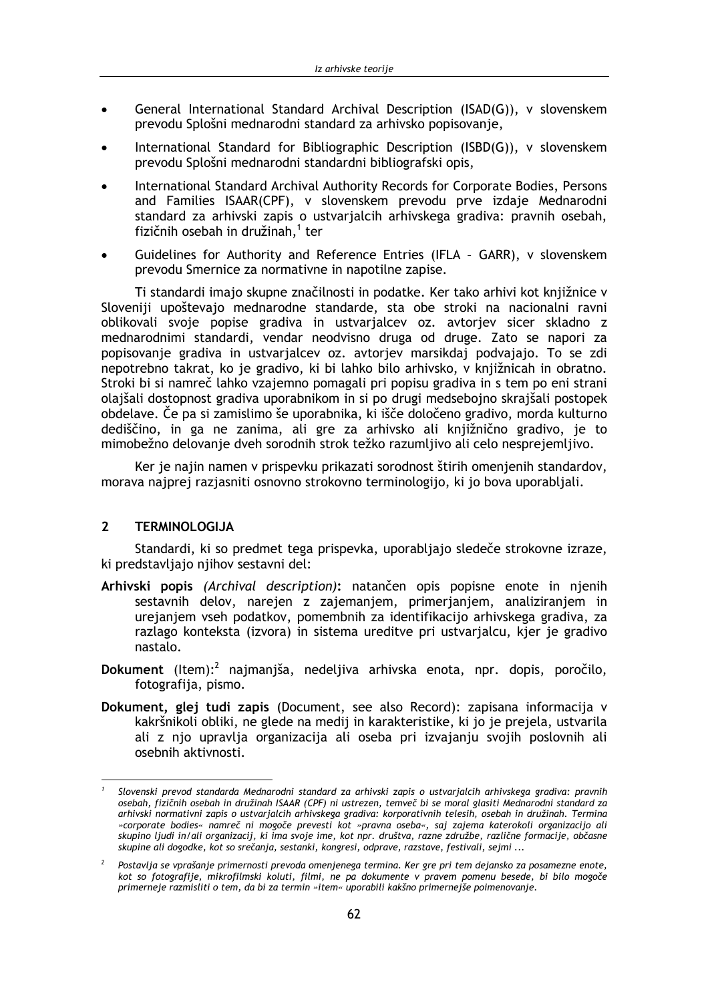- General International Standard Archival Description (ISAD(G)), v slovenskem prevodu Splošni mednarodni standard za arhivsko popisovanje,
- International Standard for Bibliographic Description (ISBD(G)), v slovenskem prevodu Splošni mednarodni standardni bibliografski opis,
- International Standard Archival Authority Records for Corporate Bodies, Persons and Families ISAAR(CPF), v slovenskem prevodu prve izdaje Mednarodni standard za arhivski zapis o ustvarjalcih arhivskega gradiva: pravnih osebah, fizičnih osebah in družinah,<sup>1</sup> ter
- Guidelines for Authority and Reference Entries (IFLA GARR), v slovenskem prevodu Smernice za normativne in napotilne zapise.

Ti standardi imajo skupne značilnosti in podatke. Ker tako arhivi kot knjižnice v Sloveniji upoštevajo mednarodne standarde, sta obe stroki na nacionalni ravni oblikovali svoje popise gradiva in ustvarjalcev oz. avtorjev sicer skladno z mednarodnimi standardi, vendar neodvisno druga od druge. Zato se napori za popisovanje gradiva in ustvarjalcev oz. avtorjev marsikdaj podvajajo. To se zdi nepotrebno takrat, ko je gradivo, ki bi lahko bilo arhivsko, v knjižnicah in obratno. Stroki bi si namreč lahko vzajemno pomagali pri popisu gradiva in s tem po eni strani olajšali dostopnost gradiva uporabnikom in si po drugi medsebojno skrajšali postopek obdelave. Če pa si zamislimo še uporabnika, ki išče določeno gradivo, morda kulturno dediščino, in ga ne zanima, ali gre za arhivsko ali knjižnično gradivo, je to mimobežno delovanje dveh sorodnih strok težko razumljivo ali celo nesprejemljivo.

Ker je najin namen v prispevku prikazati sorodnost štirih omenjenih standardov, morava najprej razjasniti osnovno strokovno terminologijo, ki jo bova uporabljali.

#### $2^{\circ}$ **TERMINOLOGIJA**

Standardi, ki so predmet tega prispevka, uporabljajo sledeče strokovne izraze, ki predstavljajo njihov sestavni del:

- Arhivski popis (Archival description): natančen opis popisne enote in nienih sestavnih delov, narejen z zajemanjem, primerjanjem, analiziranjem in urejanjem vseh podatkov, pomembnih za identifikacijo arhivskega gradiva, za razlago konteksta (izvora) in sistema ureditve pri ustvarialcu, kier je gradivo nastalo.
- Dokument (Item):<sup>2</sup> najmanjša, nedeljiva arhivska enota, npr. dopis, poročilo, fotografiia, pismo.
- Dokument, glej tudi zapis (Document, see also Record): zapisana informacija v kakršnikoli obliki, ne glede na medij in karakteristike, ki jo je prejela, ustvarila ali z njo upravlja organizacija ali oseba pri izvajanju svojih poslovnih ali osebnih aktivnosti.

Slovenski prevod standarda Mednarodni standard za arhivski zapis o ustvarialcih arhivskega gradiva: pravnih osebah, fizičnih osebah in družinah ISAAR (CPF) ni ustrezen, temveč bi se moral glasiti Mednarodni standard za arhivski normativni zapis o ustvarjalcih arhivskega gradiva: korporativnih telesih, osebah in družinah. Termina »corporate bodies« namreč ni mogoče prevesti kot »pravna oseba«, saj zajema katerokoli organizacijo ali skupino ljudi in/ali organizacij, ki ima svoje ime, kot npr. društva, razne združbe, različne formacije, občasne skupine ali dogodke, kot so srečanja, sestanki, kongresi, odprave, razstave, festivali, sejmi ...

 $\overline{2}$ Postavlja se vprašanje primernosti prevoda omenjenega termina. Ker gre pri tem dejansko za posamezne enote, kot so fotografije, mikrofilmski koluti, filmi, ne pa dokumente v pravem pomenu besede, bi bilo mogoče primerneje razmisliti o tem, da bi za termin »item« uporabili kakšno primernejše poimenovanje.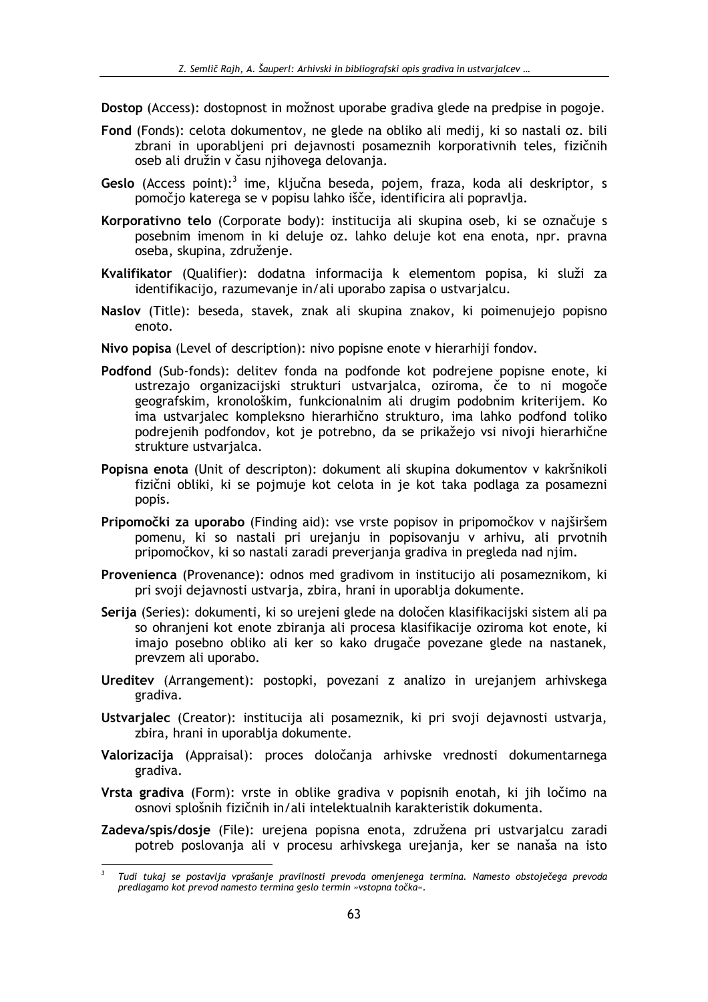Dostop (Access): dostopnost in možnost uporabe gradiva glede na predpise in pogoje.

- Fond (Fonds): celota dokumentov, ne glede na obliko ali medij, ki so nastali oz. bili zbrani in uporabljeni pri dejavnosti posameznih korporativnih teles, fizičnih oseb ali družin v času njihovega delovanja.
- Geslo (Access point):<sup>3</sup> ime, ključna beseda, pojem, fraza, koda ali deskriptor, s pomočjo katerega se v popisu lahko išče, identificira ali popravlja.
- Korporativno telo (Corporate body): institucija ali skupina oseb, ki se označuje s posebnim imenom in ki deluje oz. lahko deluje kot ena enota, npr. pravna oseba, skupina, združenje.
- Kvalifikator (Qualifier): dodatna informacija k elementom popisa, ki služi za identifikacijo, razumevanje in/ali uporabo zapisa o ustvarjalcu.
- Naslov (Title): beseda, stavek, znak ali skupina znakov, ki poimenujejo popisno enoto.
- Nivo popisa (Level of description): nivo popisne enote v hierarhiji fondov.
- Podfond (Sub-fonds): delitev fonda na podfonde kot podrejene popisne enote, ki ustrezajo organizacijski strukturi ustvarjalca, oziroma, če to ni mogoče geografskim, kronološkim, funkcionalnim ali drugim podobnim kriterijem. Ko ima ustvarialec kompleksno hierarhično strukturo, ima lahko podfond toliko podrejenih podfondov, kot je potrebno, da se prikažejo vsi nivoji hierarhične strukture ustvarialca.
- Popisna enota (Unit of descripton): dokument ali skupina dokumentov v kakršnikoli fizični obliki, ki se pojmuje kot celota in je kot taka podlaga za posamezni popis.
- Pripomočki za uporabo (Finding aid): vse vrste popisov in pripomočkov v najširšem pomenu, ki so nastali pri urejanju in popisovanju v arhivu, ali prvotnih pripomočkov, ki so nastali zaradi preverjanja gradiva in pregleda nad njim.
- Provenienca (Provenance): odnos med gradivom in institucijo ali posameznikom, ki pri svoji dejavnosti ustvarja, zbira, hrani in uporablja dokumente.
- Serija (Series): dokumenti, ki so urejeni glede na določen klasifikacijski sistem ali pa so ohranjeni kot enote zbiranja ali procesa klasifikacije oziroma kot enote, ki imajo posebno obliko ali ker so kako drugače povezane glede na nastanek, prevzem ali uporabo.
- Ureditev (Arrangement): postopki, povezani z analizo in urejanjem arhivskega gradiva.
- Ustvarjalec (Creator): institucija ali posameznik, ki pri svoji dejavnosti ustvarja, zbira, hrani in uporablja dokumente.
- Valorizacija (Appraisal): proces določanja arhivske vrednosti dokumentarnega gradiva.
- Vrsta gradiva (Form): vrste in oblike gradiva v popisnih enotah, ki jih ločimo na osnovi splošnih fizičnih in/ali intelektualnih karakteristik dokumenta.
- Zadeva/spis/dosje (File): urejena popisna enota, združena pri ustvarjalcu zaradi potreb poslovanja ali v procesu arhivskega urejanja, ker se nanaša na isto

 $\overline{a}$ Tudi tukaj se postavlja vprašanje pravilnosti prevoda omenjenega termina. Namesto obstoječega prevoda predlagamo kot prevod namesto termina geslo termin »vstopna točka«.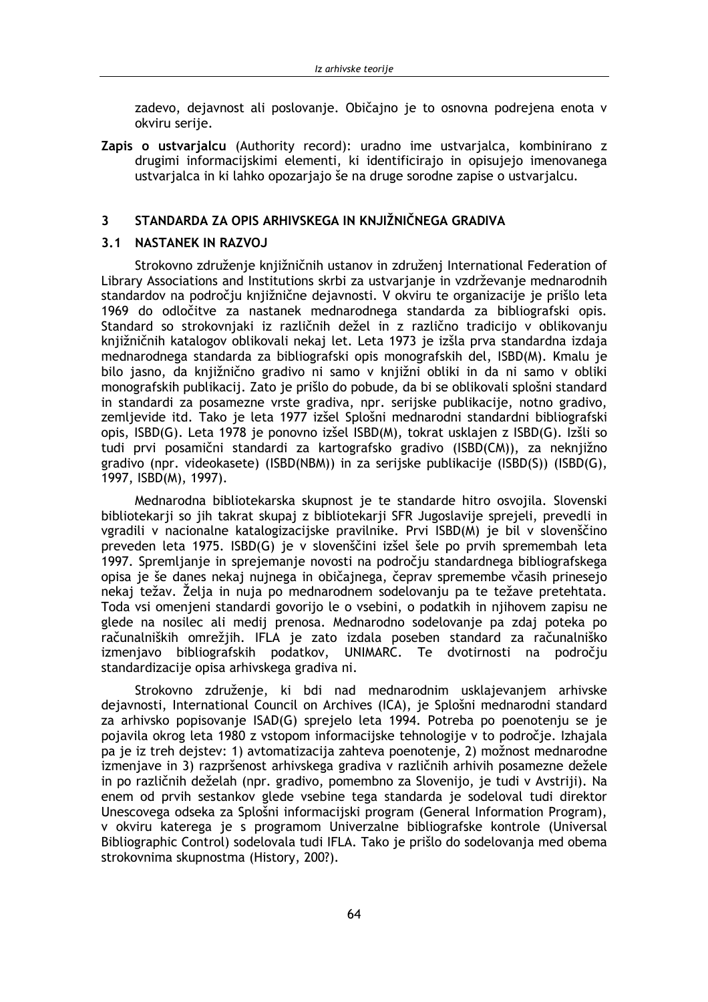zadevo, dejavnost ali poslovanje. Običajno je to osnovna podrejena enota v okviru serije.

Zapis o ustvarjalcu (Authority record): uradno ime ustvarjalca, kombinirano z drugimi informacijskimi elementi, ki identificirajo in opisujejo imenovanega ustvarjalca in ki lahko opozarjajo še na druge sorodne zapise o ustvarjalcu.

#### STANDARDA ZA OPIS ARHIVSKEGA IN KNJIŽNIČNEGA GRADIVA 3

## 3.1 NASTANEK IN RAZVOJ

Strokovno združenje knjižničnih ustanov in združenj International Federation of Library Associations and Institutions skrbi za ustvarianje in vzdrževanje mednarodnih standardov na področju knjižnične dejavnosti. V okviru te organizacije je prišlo leta 1969 do odločitve za nastanek mednarodnega standarda za bibliografski opis. Standard so strokovnjaki iz različnih dežel in z različno tradicijo v oblikovanju knjižničnih katalogov oblikovali nekaj let. Leta 1973 je izšla prva standardna izdaja mednarodnega standarda za bibliografski opis monografskih del, ISBD(M). Kmalu je bilo jasno, da knjižnično gradivo ni samo v knjižni obliki in da ni samo v obliki monografskih publikacij. Zato je prišlo do pobude, da bi se oblikovali splošni standard in standardi za posamezne vrste gradiva, npr. serijske publikacije, notno gradivo, zemljevide itd. Tako je leta 1977 izšel Splošni mednarodni standardni bibliografski opis, ISBD(G). Leta 1978 je ponovno izšel ISBD(M), tokrat usklajen z ISBD(G). Izšli so tudi prvi posamični standardi za kartografsko gradivo (ISBD(CM)), za neknjižno gradivo (npr. videokasete) (ISBD(NBM)) in za serijske publikacije (ISBD(S)) (ISBD(G), 1997, ISBD(M), 1997).

Mednarodna bibliotekarska skupnost je te standarde hitro osvojila. Slovenski bibliotekarii so jih takrat skupaj z bibliotekarii SFR Jugoslavije sprejeli, prevedli in vgradili v nacionalne katalogizacijske pravilnike. Prvi ISBD(M) je bil v slovenščino preveden leta 1975. ISBD(G) je v slovenščini izšel šele po prvih spremembah leta 1997. Spremlianie in sprejemanie novosti na področiu standardnega bibliografskega opisa je še danes nekaj nujnega in običajnega, čeprav spremembe včasih prinesejo nekaj težav. Želja in nuja po mednarodnem sodelovanju pa te težave pretehtata. Toda vsi omenjeni standardi govorijo le o vsebini, o podatkih in njihovem zapisu ne glede na nosilec ali medij prenosa. Mednarodno sodelovanje pa zdaj poteka po računalniških omrežjih. IFLA je zato izdala poseben standard za računalniško izmenjavo bibliografskih podatkov, UNIMARC. Te dvotirnosti na področju standardizacije opisa arhivskega gradiva ni.

Strokovno združenje, ki bdi nad mednarodnim usklajevanjem arhivske dejavnosti, International Council on Archives (ICA), je Splošni mednarodni standard za arhivsko popisovanje ISAD(G) sprejelo leta 1994. Potreba po poenotenju se je pojavila okrog leta 1980 z vstopom informacijske tehnologije v to področje. Izhajala pa je iz treh dejstev: 1) avtomatizacija zahteva poenotenje, 2) možnost mednarodne izmenjave in 3) razpršenost arhivskega gradiva v različnih arhivih posamezne dežele in po različnih deželah (npr. gradivo, pomembno za Slovenijo, je tudi v Avstriji). Na enem od prvih sestankov glede vsebine tega standarda je sodeloval tudi direktor Unescovega odseka za Splošni informacijski program (General Information Program), v okviru katerega je s programom Univerzalne bibliografske kontrole (Universal Bibliographic Control) sodelovala tudi IFLA. Tako je prišlo do sodelovanja med obema strokovnima skupnostma (History, 200?).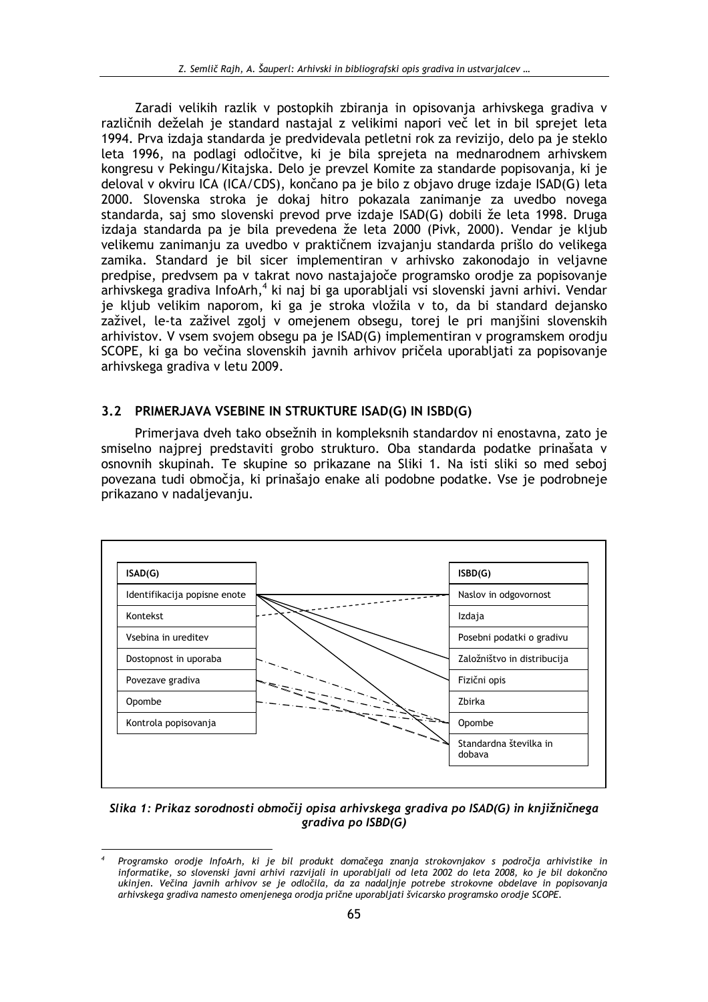Zaradi velikih razlik v postopkih zbiranja in opisovanja arhivskega gradiva v različnih deželah je standard nastajal z velikimi napori več let in bil sprejet leta 1994. Prva izdaja standarda je predvidevala petletni rok za revizijo, delo pa je steklo leta 1996, na podlagi odločitve, ki je bila sprejeta na mednarodnem arhivskem kongresu v Pekingu/Kitajska. Delo je prevzel Komite za standarde popisovanja, ki je deloval v okviru ICA (ICA/CDS), končano pa je bilo z objavo druge izdaje ISAD(G) leta 2000. Slovenska stroka je dokaj hitro pokazala zanimanje za uvedbo novega standarda, saj smo slovenski prevod prve izdaje ISAD(G) dobili že leta 1998. Druga izdaja standarda pa je bila prevedena že leta 2000 (Pivk, 2000). Vendar je kljub velikemu zanimanju za uvedbo v praktičnem izvajanju standarda prišlo do velikega zamika. Standard je bil sicer implementiran v arhivsko zakonodajo in veljavne predpise, predvsem pa v takrat novo nastajajoče programsko orodje za popisovanje arhivskega gradiva InfoArh,<sup>4</sup> ki naj bi ga uporabljali vsi slovenski javni arhivi. Vendar je kljub velikim naporom, ki ga je stroka vložila v to, da bi standard dejansko zaživel, le-ta zaživel zgoli v omejenem obsegu, torej le pri manišini slovenskih arhivistov. V vsem svojem obsegu pa je ISAD(G) implementiran v programskem orodju SCOPE, ki ga bo večina slovenskih javnih arhivov pričela uporabljati za popisovanje arhivskega gradiva v letu 2009.

### 3.2 PRIMERJAVA VSEBINE IN STRUKTURE ISAD(G) IN ISBD(G)

Primerjava dveh tako obsežnih in kompleksnih standardov ni enostavna, zato je smiselno najprej predstaviti grobo strukturo. Oba standarda podatke prinašata v osnovnih skupinah. Te skupine so prikazane na Sliki 1. Na isti sliki so med seboj povezana tudi območja, ki prinašajo enake ali podobne podatke. Vse je podrobneje prikazano v nadaljevanju.



Slika 1: Prikaz sorodnosti območij opisa arhivskega gradiva po ISAD(G) in knjižničnega gradiva po ISBD(G)

Programsko orodje InfoArh, ki je bil produkt domačega znanja strokovnjakov s področja arhivistike in informatike, so slovenski javni arhivi razvijali in uporabljali od leta 2002 do leta 2008, ko je bil dokončno ukinjen. Večina javnih arhivov se je odločila, da za nadaljnje potrebe strokovne obdelave in popisovanja arhivskega gradiva namesto omenjenega orodja prične uporabljati švicarsko programsko orodje SCOPE.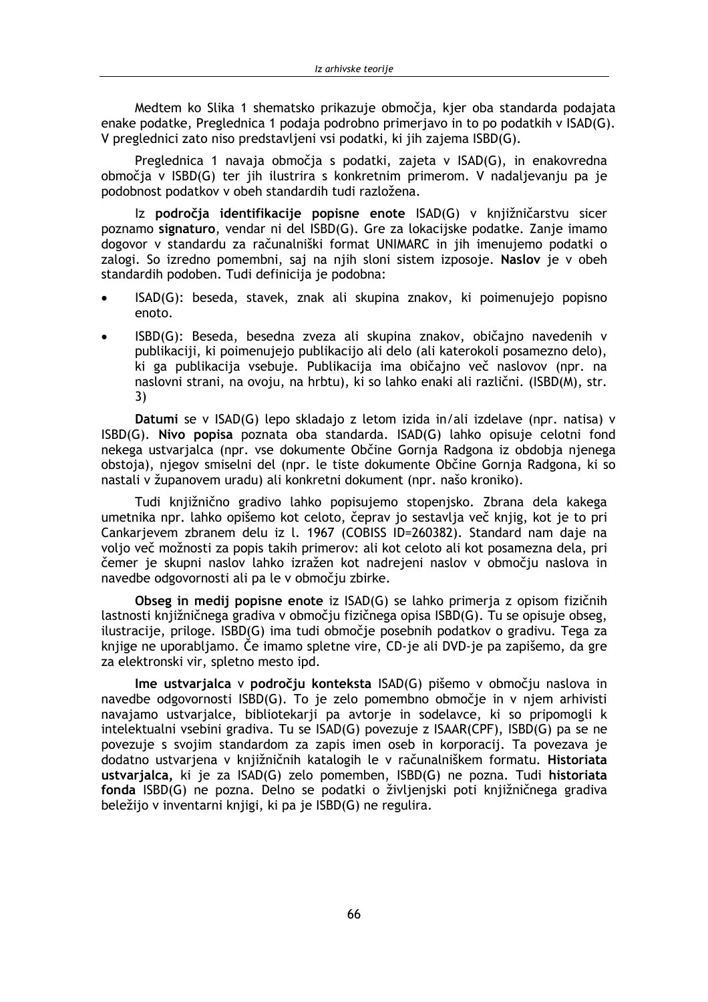Medtem ko Slika 1 shematsko prikazuje območja, kjer oba standarda podajata enake podatke, Preglednica 1 podaja podrobno primerjavo in to po podatkih v ISAD(G). V preglednici zato niso predstavljeni vsi podatki, ki jih zajema ISBD(G).

Preglednica 1 navaja območja s podatki, zajeta v ISAD(G), in enakovredna območja v ISBD(G) ter jih ilustrira s konkretnim primerom. V nadaljevanju pa je podobnost podatkov v obeh standardih tudi razložena.

Iz področja identifikacije popisne enote ISAD(G) v knjižničarstvu sicer poznamo signaturo, vendar ni del ISBD(G). Gre za lokacijske podatke. Zanje imamo dogovor v standardu za računalniški format UNIMARC in jih imenujemo podatki o zalogi. So izredno pomembni, saj na njih sloni sistem izposoje. Naslov je v obeh standardih podoben. Tudi definicija je podobna:

- ISAD(G): beseda, stavek, znak ali skupina znakov, ki poimenujejo popisno enoto.
- ISBD(G): Beseda, besedna zveza ali skupina znakov, običajno navedenih v publikaciji, ki poimenujejo publikacijo ali delo (ali katerokoli posamezno delo), ki ga publikacija vsebuje. Publikacija ima običajno več naslovov (npr. na naslovni strani, na ovoju, na hrbtu), ki so lahko enaki ali različni. (ISBD(M), str.  $3)$

Datumi se v ISAD(G) lepo skladajo z letom izida in/ali izdelave (npr. natisa) v ISBD(G). Nivo popisa poznata oba standarda. ISAD(G) lahko opisuje celotni fond nekega ustvarialca (npr. vse dokumente Občine Gornja Radgona iz obdobja njenega obstoja), njegov smiselni del (npr. le tiste dokumente Občine Gornja Radgona, ki so nastali v županovem uradu) ali konkretni dokument (npr. našo kroniko).

Tudi knjižnično gradivo lahko popisujemo stopenjsko. Zbrana dela kakega umetnika npr. lahko opišemo kot celoto, čeprav jo sestavlja več knjig, kot je to pri Cankarjevem zbranem delu iz I. 1967 (COBISS ID=260382). Standard nam daje na voljo več možnosti za popis takih primerov: ali kot celoto ali kot posamezna dela, pri čemer je skupni naslov lahko izražen kot nadrejeni naslov v območju naslova in navedbe odgovornosti ali pa le v območju zbirke.

Obseg in medii popisne enote iz ISAD(G) se lahko primeria z opisom fizičnih lastnosti knjižničnega gradiva v območju fizičnega opisa ISBD(G). Tu se opisuje obseg, ilustracije, priloge. ISBD(G) ima tudi območje posebnih podatkov o gradivu. Tega za knjige ne uporabljamo. Če imamo spletne vire, CD-je ali DVD-je pa zapišemo, da gre za elektronski vir, spletno mesto ipd.

Ime ustvarjalca v področju konteksta ISAD(G) pišemo v območju naslova in navedbe odgovornosti ISBD(G). To je zelo pomembno območje in v njem arhivisti navajamo ustvarjalce, bibliotekarji pa avtorje in sodelavce, ki so pripomogli k intelektualni vsebini gradiva. Tu se ISAD(G) povezuje z ISAAR(CPF), ISBD(G) pa se ne povezuje s svojim standardom za zapis imen oseb in korporacij. Ta povezava je dodatno ustvarjena v knjižničnih katalogih le v računalniškem formatu. Historiata ustvarjalca, ki je za ISAD(G) zelo pomemben, ISBD(G) ne pozna. Tudi historiata fonda ISBD(G) ne pozna. Delno se podatki o življenjski poti knjižničnega gradiva beležijo v inventarni knjigi, ki pa je ISBD(G) ne regulira.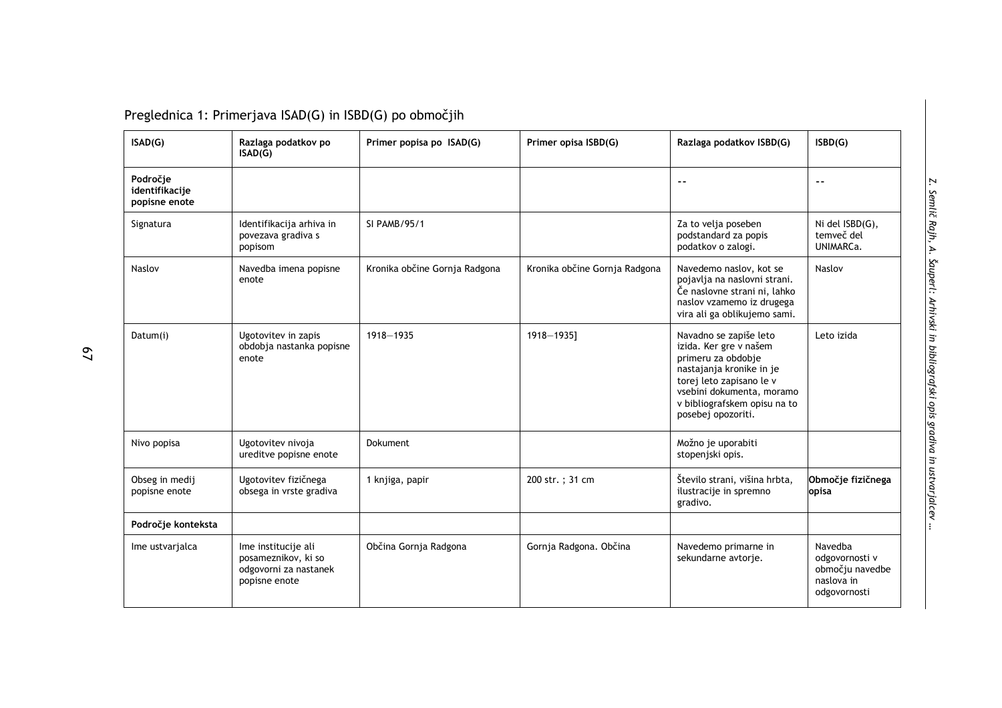| ISAD(G)                                     | Razlaga podatkov po<br>ISAD(G)                                                       | Primer popisa po ISAD(G)      | Primer opisa ISBD(G)          | Razlaga podatkov ISBD(G)                                                                                                                                                                                          | ISBN(G)                                                                    |
|---------------------------------------------|--------------------------------------------------------------------------------------|-------------------------------|-------------------------------|-------------------------------------------------------------------------------------------------------------------------------------------------------------------------------------------------------------------|----------------------------------------------------------------------------|
| Področje<br>identifikacije<br>popisne enote |                                                                                      |                               |                               | $\overline{\phantom{a}}$                                                                                                                                                                                          | $\overline{\phantom{a}}$                                                   |
| Signatura                                   | Identifikacija arhiva in<br>povezava gradiva s<br>popisom                            | SI PAMB/95/1                  |                               | Za to velja poseben<br>podstandard za popis<br>podatkov o zalogi.                                                                                                                                                 | Ni del ISBD(G),<br>temveč del<br>UNIMARCa.                                 |
| Naslov                                      | Navedba imena popisne<br>enote                                                       | Kronika občine Gornja Radgona | Kronika občine Gornja Radgona | Navedemo naslov, kot se<br>pojavlja na naslovni strani.<br>Če naslovne strani ni, lahko<br>naslov vzamemo iz drugega<br>vira ali ga oblikujemo sami.                                                              | Naslov                                                                     |
| Datum(i)                                    | Ugotovitev in zapis<br>obdobja nastanka popisne<br>enote                             | 1918-1935                     | 1918-1935]                    | Navadno se zapiše leto<br>izida. Ker gre v našem<br>primeru za obdobje<br>nastajanja kronike in je<br>torej leto zapisano le v<br>vsebini dokumenta, moramo<br>v bibliografskem opisu na to<br>posebej opozoriti. | Leto izida                                                                 |
| Nivo popisa                                 | Ugotovitev nivoja<br>ureditve popisne enote                                          | <b>Dokument</b>               |                               | Možno je uporabiti<br>stopenjski opis.                                                                                                                                                                            |                                                                            |
| Obseg in medij<br>popisne enote             | Ugotovitev fizičnega<br>obsega in vrste gradiva                                      | 1 knjiga, papir               | 200 str.; 31 cm               | Število strani, višina hrbta,<br>ilustracije in spremno<br>gradivo.                                                                                                                                               | Območje fizičnega<br>opisa                                                 |
| Področje konteksta                          |                                                                                      |                               |                               |                                                                                                                                                                                                                   |                                                                            |
| Ime ustvarialca                             | Ime institucije ali<br>posameznikov, ki so<br>odgovorni za nastanek<br>popisne enote | Občina Gornja Radgona         | Gornja Radgona. Občina        | Navedemo primarne in<br>sekundarne avtorje.                                                                                                                                                                       | Navedba<br>odgovornosti v<br>območju navedbe<br>naslova in<br>odgovornosti |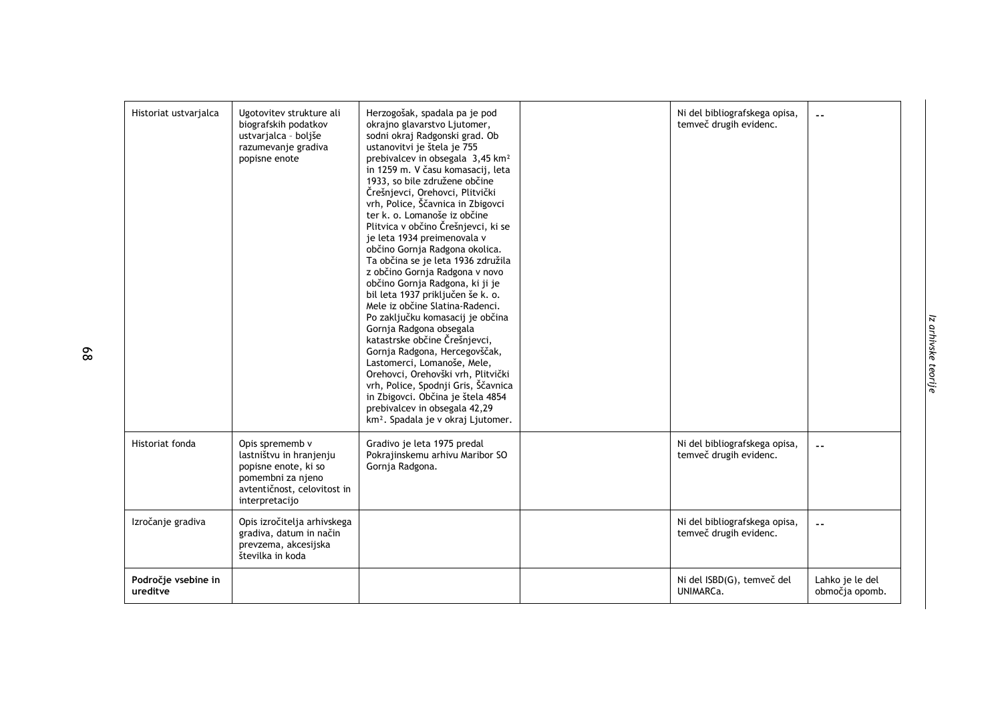| Historiat ustvarjalca           | Ugotovitev strukture ali<br>biografskih podatkov<br>ustvarjalca - boljše<br>razumevanje gradiva<br>popisne enote                         | Herzogošak, spadala pa je pod<br>okrajno glavarstvo Ljutomer,<br>sodni okraj Radgonski grad. Ob<br>ustanovitvi je štela je 755<br>prebivalcev in obsegala 3,45 km <sup>2</sup><br>in 1259 m. V času komasacij, leta<br>1933, so bile združene občine<br>Črešnjevci, Orehovci, Plitvički<br>vrh, Police, Ščavnica in Zbigovci<br>ter k. o. Lomanoše iz občine<br>Plitvica v občino Črešnjevci, ki se<br>je leta 1934 preimenovala v<br>občino Gornja Radgona okolica.<br>Ta občina se je leta 1936 združila<br>z občino Gornja Radgona v novo<br>občino Gornja Radgona, ki ji je<br>bil leta 1937 priključen še k. o.<br>Mele iz občine Slatina-Radenci.<br>Po zaključku komasacij je občina<br>Gornja Radgona obsegala<br>katastrske občine Črešnjevci,<br>Gornja Radgona, Hercegovščak,<br>Lastomerci, Lomanoše, Mele,<br>Orehovci, Orehovški vrh, Plitvički<br>vrh, Police, Spodnji Gris, Ščavnica<br>in Zbigovci. Občina je štela 4854<br>prebivalcev in obsegala 42,29<br>km <sup>2</sup> . Spadala je v okraj Ljutomer. | Ni del bibliografskega opisa,<br>temveč drugih evidenc. |                                   |
|---------------------------------|------------------------------------------------------------------------------------------------------------------------------------------|------------------------------------------------------------------------------------------------------------------------------------------------------------------------------------------------------------------------------------------------------------------------------------------------------------------------------------------------------------------------------------------------------------------------------------------------------------------------------------------------------------------------------------------------------------------------------------------------------------------------------------------------------------------------------------------------------------------------------------------------------------------------------------------------------------------------------------------------------------------------------------------------------------------------------------------------------------------------------------------------------------------------------|---------------------------------------------------------|-----------------------------------|
| Historiat fonda                 | Opis sprememb v<br>lastništvu in hranjenju<br>popisne enote, ki so<br>pomembni za njeno<br>avtentičnost, celovitost in<br>interpretacijo | Gradivo je leta 1975 predal<br>Pokrajinskemu arhivu Maribor SO<br>Gornja Radgona.                                                                                                                                                                                                                                                                                                                                                                                                                                                                                                                                                                                                                                                                                                                                                                                                                                                                                                                                            | Ni del bibliografskega opisa,<br>temveč drugih evidenc. |                                   |
| Izročanje gradiva               | Opis izročitelja arhivskega<br>gradiva, datum in način<br>prevzema, akcesijska<br>številka in koda                                       |                                                                                                                                                                                                                                                                                                                                                                                                                                                                                                                                                                                                                                                                                                                                                                                                                                                                                                                                                                                                                              | Ni del bibliografskega opisa,<br>temveč drugih evidenc. | $ -$                              |
| Področje vsebine in<br>ureditve |                                                                                                                                          |                                                                                                                                                                                                                                                                                                                                                                                                                                                                                                                                                                                                                                                                                                                                                                                                                                                                                                                                                                                                                              | Ni del ISBD(G), temveč del<br>UNIMARCa.                 | Lahko je le del<br>območja opomb. |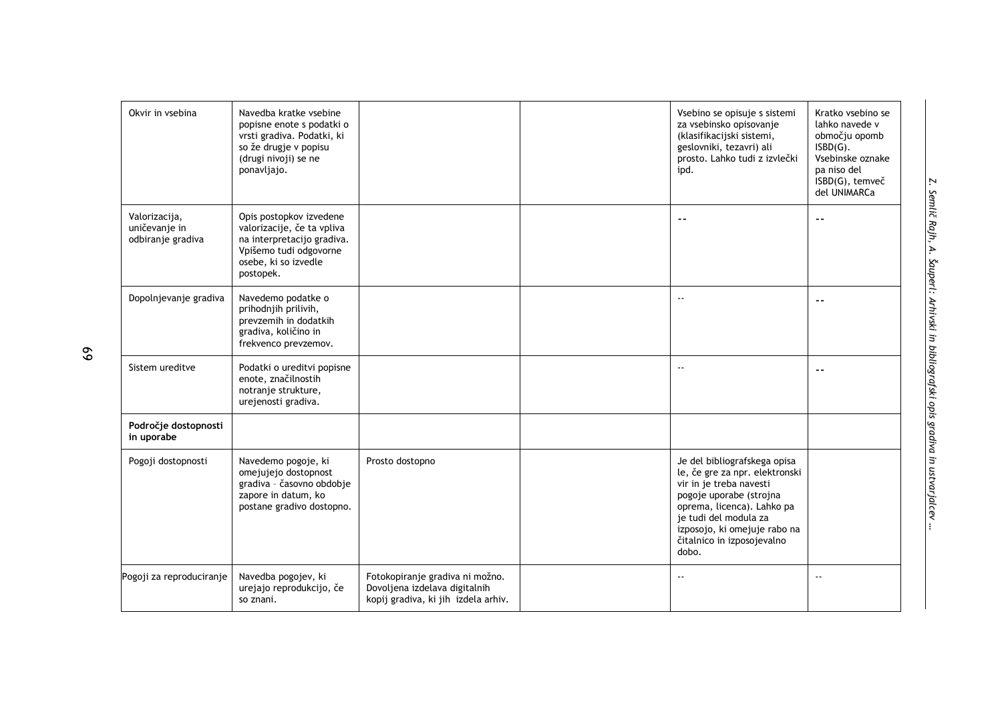| Okvir in vsebina                                    | Navedba kratke vsebine<br>popisne enote s podatki o<br>vrsti gradiva. Podatki, ki<br>so že drugje v popisu<br>(drugi nivoji) se ne<br>ponavljajo.  |                                                                                                         | Vsebino se opisuje s sistemi<br>za vsebinsko opisovanje<br>(klasifikacijski sistemi,<br>geslovniki, tezavri) ali<br>prosto. Lahko tudi z izvlečki<br>ipd.                                                                                          | Kratko vsebino se<br>lahko navede v<br>območju opomb<br>$ISBN(G)$ .<br>Vsebinske oznake<br>pa niso del<br>ISBD(G), temveč<br>del UNIMARCa |
|-----------------------------------------------------|----------------------------------------------------------------------------------------------------------------------------------------------------|---------------------------------------------------------------------------------------------------------|----------------------------------------------------------------------------------------------------------------------------------------------------------------------------------------------------------------------------------------------------|-------------------------------------------------------------------------------------------------------------------------------------------|
| Valorizacija,<br>uničevanje in<br>odbiranje gradiva | Opis postopkov izvedene<br>valorizacije, če ta vpliva<br>na interpretacijo gradiva.<br>Vpišemo tudi odgovorne<br>osebe, ki so izvedle<br>postopek. |                                                                                                         | --                                                                                                                                                                                                                                                 | $ -$                                                                                                                                      |
| Dopolnjevanje gradiva                               | Navedemo podatke o<br>prihodnjih prilivih,<br>prevzemih in dodatkih<br>gradiva, količino in<br>frekvenco prevzemov.                                |                                                                                                         | $\overline{a}$                                                                                                                                                                                                                                     | $\overline{a}$                                                                                                                            |
| Sistem ureditve                                     | Podatki o ureditvi popisne<br>enote, značilnostih<br>notranje strukture,<br>urejenosti gradiva.                                                    |                                                                                                         | --                                                                                                                                                                                                                                                 |                                                                                                                                           |
| Področje dostopnosti<br>in uporabe                  |                                                                                                                                                    |                                                                                                         |                                                                                                                                                                                                                                                    |                                                                                                                                           |
| Pogoji dostopnosti                                  | Navedemo pogoje, ki<br>omejujejo dostopnost<br>gradiva - časovno obdobje<br>zapore in datum, ko<br>postane gradivo dostopno.                       | Prosto dostopno                                                                                         | Je del bibliografskega opisa<br>le, če gre za npr. elektronski<br>vir in je treba navesti<br>pogoje uporabe (strojna<br>oprema, licenca). Lahko pa<br>je tudi del modula za<br>izposojo, ki omejuje rabo na<br>čitalnico in izposojevalno<br>dobo. |                                                                                                                                           |
| Pogoji za reproduciranje                            | Navedba pogojev, ki<br>urejajo reprodukcijo, če<br>so znani.                                                                                       | Fotokopiranje gradiva ni možno.<br>Dovoljena izdelava digitalnih<br>kopij gradiva, ki jih izdela arhiv. |                                                                                                                                                                                                                                                    | $\sim$ $\sim$                                                                                                                             |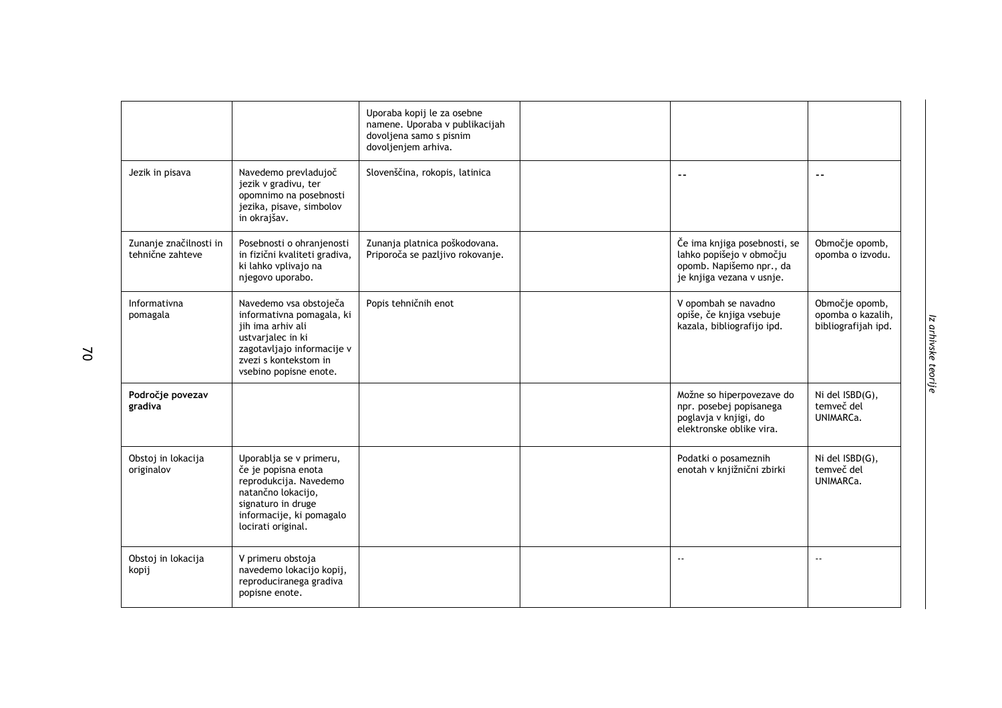|                                            |                                                                                                                                                                                | Uporaba kopij le za osebne<br>namene. Uporaba v publikacijah<br>dovoljena samo s pisnim<br>dovoljenjem arhiva. |                                                                                                                   |                                                            |
|--------------------------------------------|--------------------------------------------------------------------------------------------------------------------------------------------------------------------------------|----------------------------------------------------------------------------------------------------------------|-------------------------------------------------------------------------------------------------------------------|------------------------------------------------------------|
| Jezik in pisava                            | Navedemo prevladujoč<br>jezik v gradivu, ter<br>opomnimo na posebnosti<br>jezika, pisave, simbolov<br>in okrajšav.                                                             | Slovenščina, rokopis, latinica                                                                                 | $\sim$ $\sim$                                                                                                     | $\sim$ $\sim$                                              |
| Zunanje značilnosti in<br>tehnične zahteve | Posebnosti o ohranjenosti<br>in fizični kvaliteti gradiva,<br>ki lahko vplivajo na<br>njegovo uporabo.                                                                         | Zunanja platnica poškodovana.<br>Priporoča se pazljivo rokovanje.                                              | Če ima knjiga posebnosti, se<br>lahko popišejo v območju<br>opomb. Napišemo npr., da<br>je knjiga vezana v usnje. | Območje opomb,<br>opomba o izvodu.                         |
| Informativna<br>pomagala                   | Navedemo vsa obstoječa<br>informativna pomagala, ki<br>jih ima arhiv ali<br>ustvarjalec in ki<br>zagotavljajo informacije v<br>zvezi s kontekstom in<br>vsebino popisne enote. | Popis tehničnih enot                                                                                           | V opombah se navadno<br>opiše, če knjiga vsebuje<br>kazala, bibliografijo ipd.                                    | Območje opomb,<br>opomba o kazalih,<br>bibliografijah ipd. |
| Področje povezav<br>gradiva                |                                                                                                                                                                                |                                                                                                                | Možne so hiperpovezave do<br>npr. posebej popisanega<br>poglavja v knjigi, do<br>elektronske oblike vira.         | Ni del ISBD(G),<br>temveč del<br>UNIMARCa.                 |
| Obstoj in lokacija<br>originalov           | Uporablja se v primeru,<br>če je popisna enota<br>reprodukcija. Navedemo<br>natančno lokacijo,<br>signaturo in druge<br>informacije, ki pomagalo<br>locirati original.         |                                                                                                                | Podatki o posameznih<br>enotah v knjižnični zbirki                                                                | Ni del ISBD(G),<br>temveč del<br>UNIMARCa.                 |
| Obstoj in lokacija<br>kopij                | V primeru obstoja<br>navedemo lokacijo kopij,<br>reproduciranega gradiva<br>popisne enote.                                                                                     |                                                                                                                | $\sim$ $\sim$                                                                                                     |                                                            |

 $\mathsf{S}$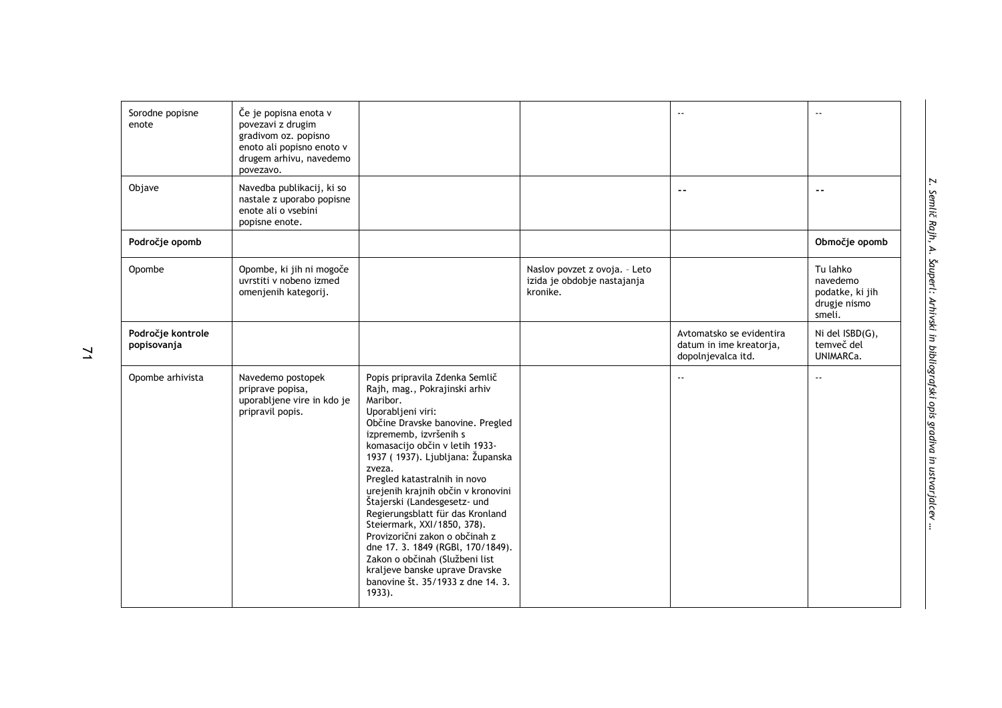| Sorodne popisne<br>enote         | Če je popisna enota v<br>povezavi z drugim<br>gradivom oz. popisno<br>enoto ali popisno enoto v<br>drugem arhivu, navedemo<br>povezavo. |                                                                                                                                                                                                                                                                                                                                                                                                                                                                                                                                                                                                                     |                                                                          | $\overline{a}$                                                            | $\sim$ $\sim$                                                     |
|----------------------------------|-----------------------------------------------------------------------------------------------------------------------------------------|---------------------------------------------------------------------------------------------------------------------------------------------------------------------------------------------------------------------------------------------------------------------------------------------------------------------------------------------------------------------------------------------------------------------------------------------------------------------------------------------------------------------------------------------------------------------------------------------------------------------|--------------------------------------------------------------------------|---------------------------------------------------------------------------|-------------------------------------------------------------------|
| Objave                           | Navedba publikacij, ki so<br>nastale z uporabo popisne<br>enote ali o vsebini<br>popisne enote.                                         |                                                                                                                                                                                                                                                                                                                                                                                                                                                                                                                                                                                                                     |                                                                          | $\overline{a}$                                                            | $\sim$ $\sim$                                                     |
| Področje opomb                   |                                                                                                                                         |                                                                                                                                                                                                                                                                                                                                                                                                                                                                                                                                                                                                                     |                                                                          |                                                                           | Območje opomb                                                     |
| Opombe                           | Opombe, ki jih ni mogoče<br>uvrstiti v nobeno izmed<br>omenjenih kategorij.                                                             |                                                                                                                                                                                                                                                                                                                                                                                                                                                                                                                                                                                                                     | Naslov povzet z ovoja. - Leto<br>izida je obdobje nastajanja<br>kronike. |                                                                           | Tu lahko<br>navedemo<br>podatke, ki jih<br>drugje nismo<br>smeli. |
| Področje kontrole<br>popisovanja |                                                                                                                                         |                                                                                                                                                                                                                                                                                                                                                                                                                                                                                                                                                                                                                     |                                                                          | Avtomatsko se evidentira<br>datum in ime kreatorja,<br>dopolnjevalca itd. | Ni del ISBD(G),<br>temveč del<br>UNIMARCa.                        |
| Opombe arhivista                 | Navedemo postopek<br>priprave popisa,<br>uporabljene vire in kdo je<br>pripravil popis.                                                 | Popis pripravila Zdenka Semlič<br>Rajh, mag., Pokrajinski arhiv<br>Maribor.<br>Uporabljeni viri:<br>Občine Dravske banovine. Pregled<br>izprememb, izvršenih s<br>komasacijo občin v letih 1933-<br>1937 (1937). Ljubljana: Županska<br>zveza.<br>Pregled katastralnih in novo<br>urejenih krajnih občin v kronovini<br>Štajerski (Landesgesetz- und<br>Regierungsblatt für das Kronland<br>Steiermark, XXI/1850, 378).<br>Provizorični zakon o občinah z<br>dne 17. 3. 1849 (RGBl, 170/1849).<br>Zakon o občinah (Službeni list<br>kraljeve banske uprave Dravske<br>banovine št. 35/1933 z dne 14. 3.<br>$1933$ . |                                                                          | $\overline{a}$                                                            | $\sim$ $\sim$                                                     |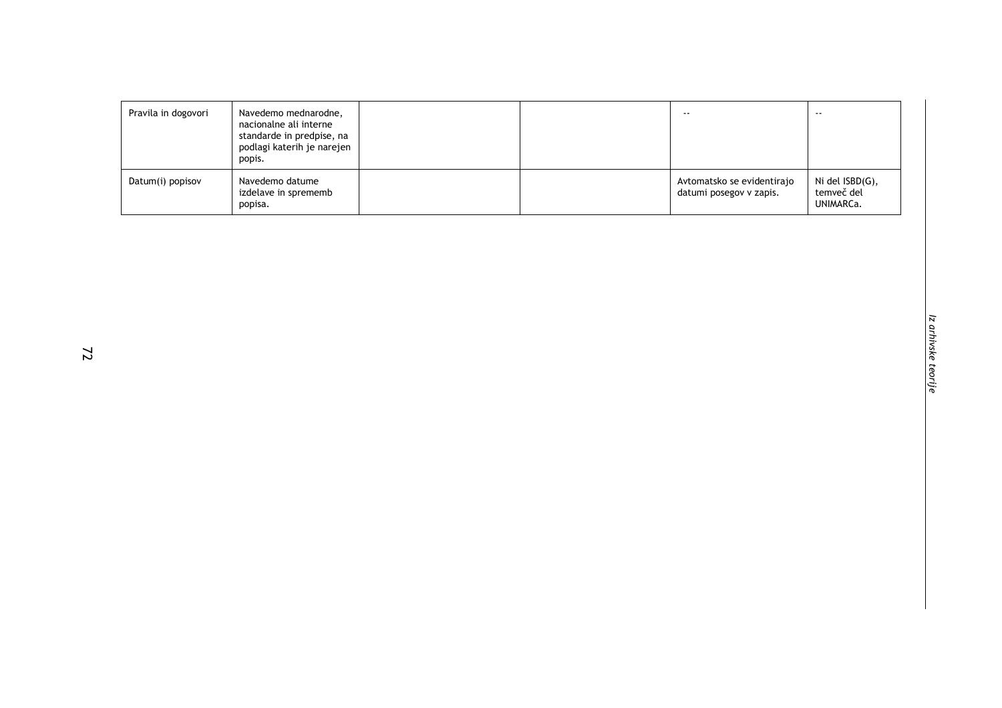| Pravila in dogovori | Navedemo mednarodne,<br>nacionalne ali interne<br>standarde in predpise, na<br>podlagi katerih je narejen<br>popis. |  | $- -$                                                 | $- -$                                      |
|---------------------|---------------------------------------------------------------------------------------------------------------------|--|-------------------------------------------------------|--------------------------------------------|
| Datum(i) popisov    | Navedemo datume<br>izdelave in sprememb<br>popisa.                                                                  |  | Avtomatsko se evidentirajo<br>datumi posegov v zapis. | Ni del ISBD(G),<br>temveč del<br>UNIMARCa. |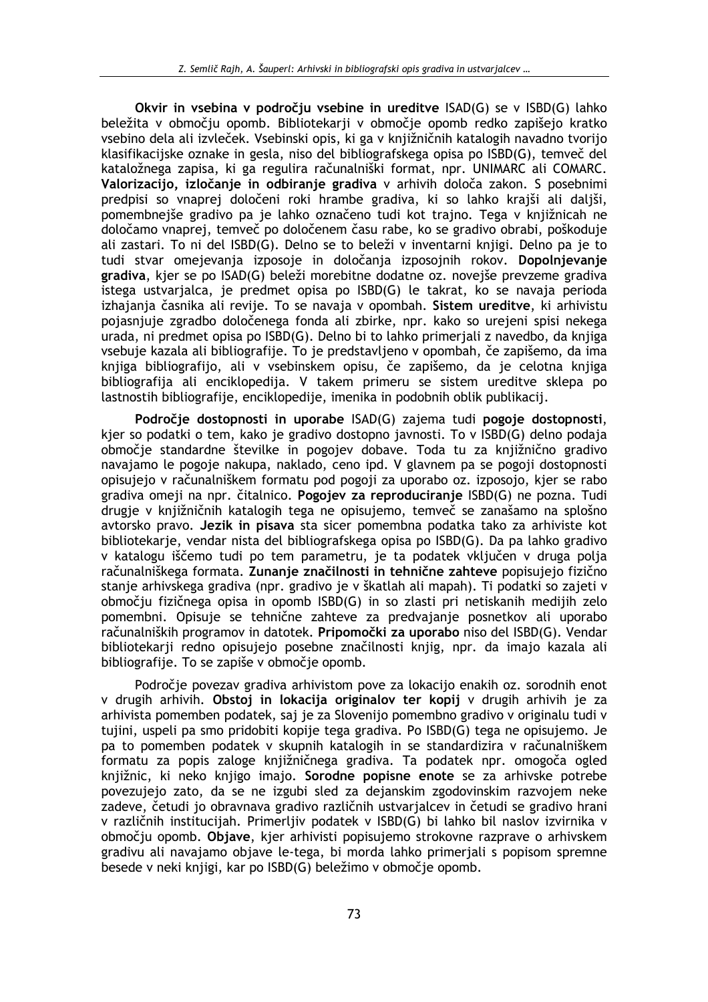Okvir in vsebina v področiu vsebine in ureditve ISAD(G) se v ISBD(G) lahko beležita v območju opomb. Bibliotekarji v območje opomb redko zapišejo kratko vsebino dela ali izvleček. Vsebinski opis, ki ga v kniižničnih katalogih navadno tvorijo klasifikacijske oznake in gesla, niso del bibliografskega opisa po ISBD(G), temveč del kataložnega zapisa, ki ga regulira računalniški format, npr. UNIMARC ali COMARC. Valorizacijo, izločanje in odbiranje gradiva v arhivih določa zakon. S posebnimi predpisi so vnaprej določeni roki hrambe gradiva, ki so lahko krajši ali daljši, pomembnejše gradivo pa je lahko označeno tudi kot trajno. Tega v knjižnicah ne določamo vnaprej, temveč po določenem času rabe, ko se gradivo obrabi, poškoduje ali zastari. To ni del ISBD(G). Delno se to beleži v inventarni knjigi. Delno pa je to tudi stvar omejevanja izposoje in določanja izposojnih rokov. Dopolnjevanie gradiva, kjer se po ISAD(G) beleži morebitne dodatne oz. novejše prevzeme gradiva istega ustvarjalca, je predmet opisa po ISBD(G) le takrat, ko se navaja perioda izhajanja časnika ali revije. To se navaja v opombah. Sistem ureditve, ki arhivistu pojasniuje zgradbo določenega fonda ali zbirke, npr. kako so urejeni spisi nekega urada, ni predmet opisa po ISBD(G). Delno bi to lahko primerjali z navedbo, da knjiga vsebuje kazala ali bibliografije. To je predstavljeno v opombah, če zapišemo, da ima knjiga bibliografijo, ali v vsebinskem opisu, če zapišemo, da je celotna knjiga bibliografija ali enciklopedija. V takem primeru se sistem ureditve sklepa po lastnostih bibliografije, enciklopedije, imenika in podobnih oblik publikacij.

Področje dostopnosti in uporabe ISAD(G) zajema tudi pogoje dostopnosti, kjer so podatki o tem, kako je gradivo dostopno javnosti. To v ISBD(G) delno podaja območie standardne številke in pogojev dobave. Toda tu za knjižnično gradivo navajamo le pogoje nakupa, naklado, ceno ipd. V glavnem pa se pogoji dostopnosti opisujejo v računalniškem formatu pod pogoji za uporabo oz. izposojo, kjer se rabo gradiva omeji na npr. čitalnico. Pogojev za reproduciranje ISBD(G) ne pozna. Tudi drugie v knjižničnih katalogih tega ne opisujemo, temveč se zanašamo na splošno avtorsko pravo. Jezik in pisava sta sicer pomembna podatka tako za arhiviste kot bibliotekarie, vendar nista del bibliografskega opisa po ISBD(G). Da pa lahko gradivo v katalogu iščemo tudi po tem parametru, je ta podatek vključen v druga polja računalniškega formata. Zunanie značilnosti in tehnične zahteve popisujejo fizično stanje arhivskega gradiva (npr. gradivo je v škatlah ali mapah). Ti podatki so zajeti v območju fizičnega opisa in opomb ISBD(G) in so zlasti pri netiskanih medijih zelo pomembni. Opisuje se tehnične zahteve za predvajanje posnetkov ali uporabo računalniških programov in datotek. Pripomočki za uporabo niso del ISBD(G). Vendar bibliotekarji redno opisujejo posebne značilnosti knjig, npr. da imajo kazala ali bibliografije. To se zapiše v območje opomb.

Področje povezav gradiva arhivistom pove za lokacijo enakih oz. sorodnih enot v drugih arhivih. Obstoj in lokacija originalov ter kopij v drugih arhivih je za arhivista pomemben podatek, saj je za Slovenijo pomembno gradivo v originalu tudi v tujini, uspeli pa smo pridobiti kopije tega gradiva. Po ISBD(G) tega ne opisujemo. Je pa to pomemben podatek v skupnih katalogih in se standardizira v računalniškem formatu za popis zaloge knjižničnega gradiva. Ta podatek npr. omogoča ogled knjižnic, ki neko knjigo imajo. Sorodne popisne enote se za arhivske potrebe povezujejo zato, da se ne izgubi sled za dejanskim zgodovinskim razvojem neke zadeve, četudi jo obravnava gradivo različnih ustvarialcev in četudi se gradivo hrani v različnih institucijah. Primerljiv podatek v ISBD(G) bi lahko bil naslov izvirnika v območju opomb. Objave, kjer arhivisti popisujemo strokovne razprave o arhivskem gradivu ali navajamo objave le-tega, bi morda lahko primerjali s popisom spremne besede v neki knjigi, kar po ISBD(G) beležimo v območje opomb.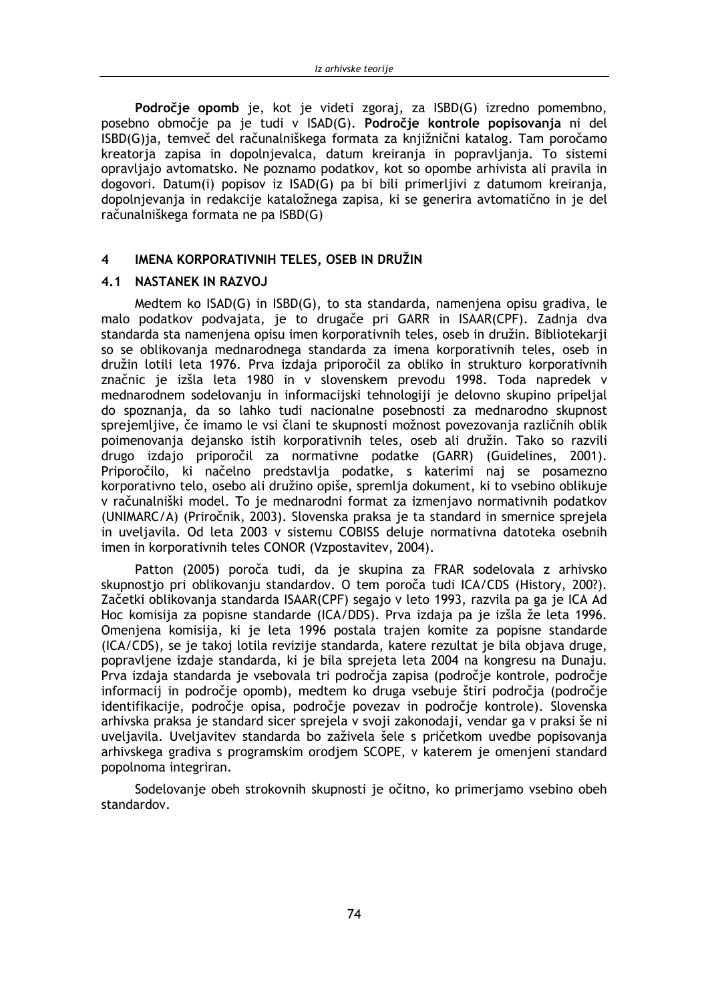Področje opomb je, kot je videti zgoraj, za ISBD(G) izredno pomembno, posebno območje pa je tudi v ISAD(G). Področje kontrole popisovanja ni del ISBD(G)ja, temveč del računalniškega formata za knjižnični katalog. Tam poročamo kreatorja zapisa in dopolnjevalca, datum kreiranja in popravljanja. To sistemi opravljajo avtomatsko. Ne poznamo podatkov, kot so opombe arhivista ali pravila in dogovori. Datum(i) popisov iz ISAD(G) pa bi bili primerljivi z datumom kreiranja, dopolnjevanja in redakcije kataložnega zapisa, ki se generira avtomatično in je del računalniškega formata ne pa ISBD(G)

#### $\overline{\mathbf{4}}$ IMENA KORPORATIVNIH TELES, OSEB IN DRUŽIN

## 4.1 NASTANEK IN RAZVOJ

Medtem ko ISAD(G) in ISBD(G), to sta standarda, namenjena opisu gradiva, le malo podatkov podvajata, je to drugače pri GARR in ISAAR(CPF). Zadnja dva standarda sta namenjena opisu imen korporativnih teles, oseb in družin. Bibliotekarji so se oblikovanja mednarodnega standarda za imena korporativnih teles, oseb in družin lotili leta 1976. Prva izdaja priporočil za obliko in strukturo korporativnih značnic je izšla leta 1980 in v slovenskem prevodu 1998. Toda napredek v mednarodnem sodelovanju in informacijski tehnologiji je delovno skupino pripeljal do spoznanja, da so lahko tudi nacionalne posebnosti za mednarodno skupnost sprejemljive, če imamo le vsi člani te skupnosti možnost povezovanja različnih oblik poimenovanja dejansko istih korporativnih teles, oseb ali družin. Tako so razvili drugo izdajo priporočil za normativne podatke (GARR) (Guidelines, 2001). Priporočilo, ki načelno predstavlja podatke, s katerimi naj se posamezno korporativno telo, osebo ali družino opiše, spremlja dokument, ki to vsebino oblikuje v računalniški model. To je mednarodni format za izmenjavo normativnih podatkov (UNIMARC/A) (Priročnik, 2003). Slovenska praksa je ta standard in smernice sprejela in uveljavila. Od leta 2003 v sistemu COBISS deluje normativna datoteka osebnih imen in korporativnih teles CONOR (Vzpostavitev, 2004).

Patton (2005) poroča tudi, da je skupina za FRAR sodelovala z arhivsko skupnostio pri oblikovanju standardov. O tem poroča tudi ICA/CDS (History, 200?). Začetki oblikovanja standarda ISAAR(CPF) segajo v leto 1993, razvila pa ga je ICA Ad Hoc komisija za popisne standarde (ICA/DDS). Prva izdaja pa je izšla že leta 1996. Omenjena komisija, ki je leta 1996 postala trajen komite za popisne standarde (ICA/CDS), se je takoj lotila revizije standarda, katere rezultat je bila objava druge, popravljene izdaje standarda, ki je bila sprejeta leta 2004 na kongresu na Dunaju. Prva izdaja standarda je vsebovala tri področja zapisa (področje kontrole, področje informacij in področje opomb), medtem ko druga vsebuje štiri področja (področje identifikacije, področje opisa, področje povezav in področje kontrole). Slovenska arhivska praksa je standard sicer sprejela v svoji zakonodaji, vendar ga v praksi še ni uveljavila. Uveljavitev standarda bo zaživela šele s pričetkom uvedbe popisovanja arhivskega gradiva s programskim orodjem SCOPE, v katerem je omenjeni standard popolnoma integriran.

Sodelovanje obeh strokovnih skupnosti je očitno, ko primerjamo vsebino obeh standardov.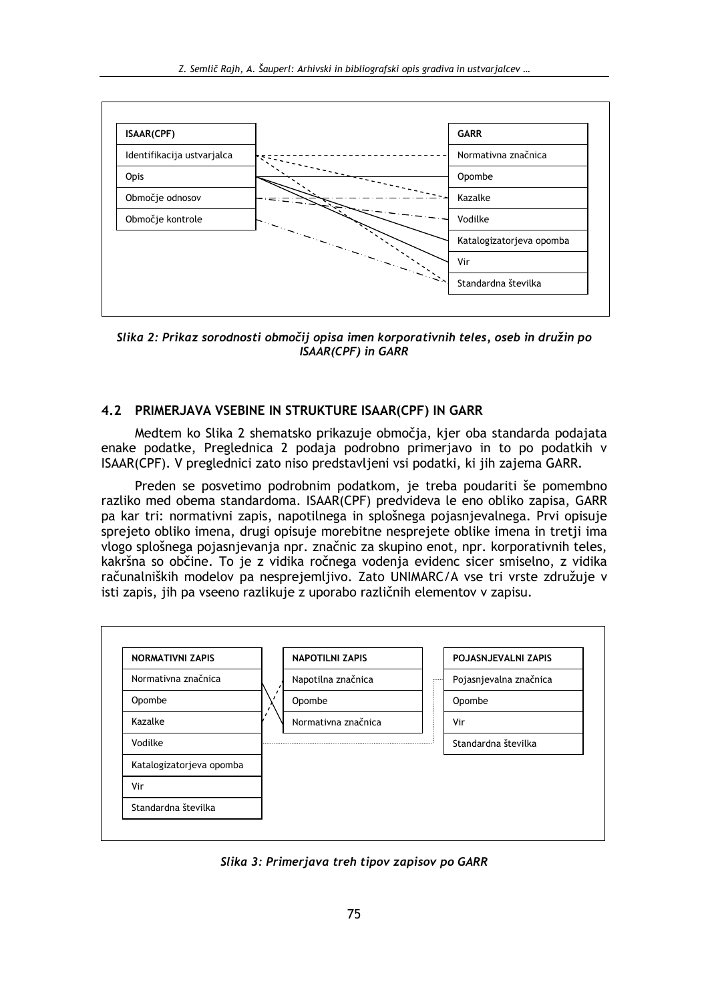

Slika 2: Prikaz sorodnosti območij opisa imen korporativnih teles, oseb in družin po **ISAAR(CPF)** in GARR

## 4.2 PRIMERJAVA VSEBINE IN STRUKTURE ISAAR(CPF) IN GARR

Medtem ko Slika 2 shematsko prikazuje območja, kjer oba standarda podajata enake podatke, Preglednica 2 podaja podrobno primerjavo in to po podatkih v ISAAR(CPF). V preglednici zato niso predstavljeni vsi podatki, ki jih zajema GARR.

Preden se posvetimo podrobnim podatkom, je treba poudariti še pomembno razliko med obema standardoma. ISAAR(CPF) predvideva le eno obliko zapisa, GARR pa kar tri: normativni zapis, napotilnega in splošnega pojasnjevalnega. Prvi opisuje sprejeto obliko imena, drugi opisuje morebitne nesprejete oblike imena in tretji ima vlogo splošnega pojasnjevanja npr. značnic za skupino enot, npr. korporativnih teles, kakršna so občine. To je z vidika ročnega vodenja evidenc sicer smiselno, z vidika računalniških modelov pa nesprejemljivo. Zato UNIMARC/A vse tri vrste združuje v isti zapis, jih pa vseeno razlikuje z uporabo različnih elementov v zapisu.



Slika 3: Primerjava treh tipov zapisov po GARR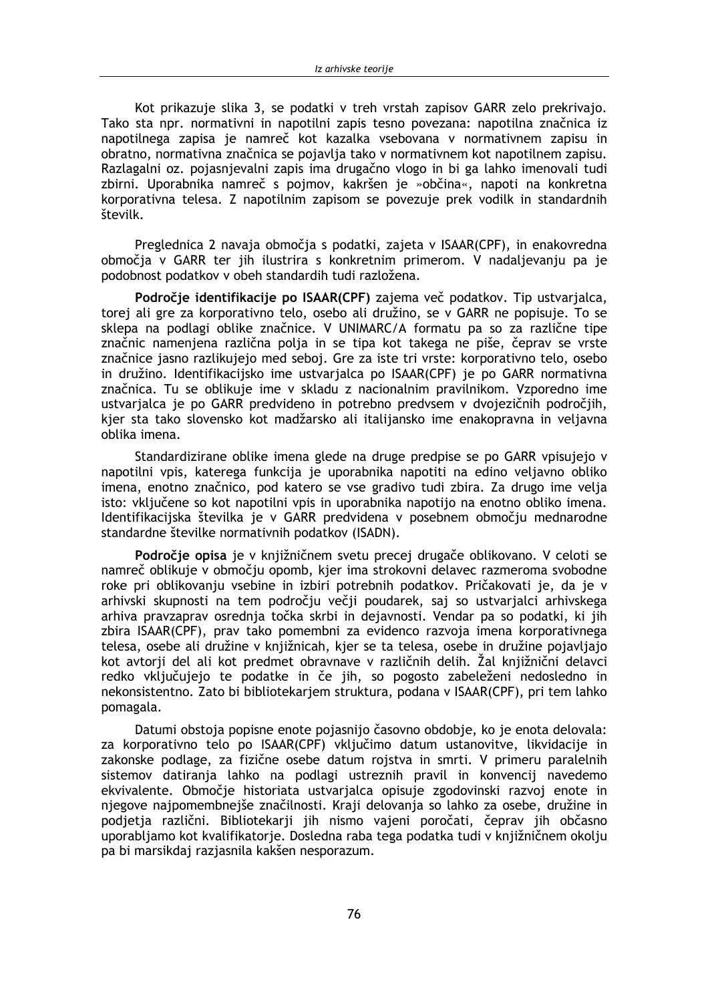Kot prikazuje slika 3, se podatki v treh vrstah zapisov GARR zelo prekrivaio. Tako sta npr. normativni in napotilni zapis tesno povezana: napotilna značnica iz napotilnega zapisa je namreč kot kazalka vsebovana v normativnem zapisu in obratno, normativna značnica se pojavlja tako v normativnem kot napotilnem zapisu. Razlagalni oz. pojasnjevalni zapis ima drugačno vlogo in bi ga lahko imenovali tudi zbirni. Uporabnika namreč s pojmov, kakršen je »občina«, napoti na konkretna korporativna telesa. Z napotilnim zapisom se povezuje prek vodilk in standardnih številk.

Preglednica 2 navaja območja s podatki, zajeta v ISAAR(CPF), in enakovredna območja v GARR ter jih ilustrira s konkretnim primerom. V nadaljevanju pa je podobnost podatkov v obeh standardih tudi razložena.

Področje identifikacije po ISAAR(CPF) zajema več podatkov. Tip ustvarjalca, torej ali gre za korporativno telo, osebo ali družino, se v GARR ne popisuje. To se sklepa na podlagi oblike značnice. V UNIMARC/A formatu pa so za različne tipe značnic namenjena različna polja in se tipa kot takega ne piše, čeprav se vrste značnice jasno razlikujejo med seboj. Gre za iste tri vrste: korporativno telo, osebo in družino. Identifikacijsko ime ustvarjalca po ISAAR(CPF) je po GARR normativna značnica. Tu se oblikuje ime v skladu z nacionalnim pravilnikom. Vzporedno ime ustvarialca je po GARR predvideno in potrebno predvsem v dvojezičnih področjih, kjer sta tako slovensko kot madžarsko ali italijansko ime enakopravna in veljavna oblika imena.

Standardizirane oblike imena glede na druge predpise se po GARR vpisujejo v napotilni vpis, katerega funkcija je uporabnika napotiti na edino veljavno obliko imena, enotno značnico, pod katero se vse gradivo tudi zbira. Za drugo ime velja isto: vključene so kot napotilni vpis in uporabnika napotijo na enotno obliko imena. Identifikacijska številka je v GARR predvidena v posebnem območju mednarodne standardne številke normativnih podatkov (ISADN).

Področje opisa je v knjižničnem svetu precej drugače oblikovano. V celoti se namreč oblikuje v območju opomb, kjer ima strokovni delavec razmeroma svobodne roke pri oblikovanju vsebine in izbiri potrebnih podatkov. Pričakovati je, da je v arhivski skupnosti na tem področju večji poudarek, saj so ustvarjalci arhivskega arhiva pravzaprav osrednja točka skrbi in dejavnosti. Vendar pa so podatki, ki jih zbira ISAAR(CPF), prav tako pomembni za evidenco razvoja imena korporativnega telesa, osebe ali družine v knjižnicah, kjer se ta telesa, osebe in družine pojavljajo kot avtorji del ali kot predmet obravnave v različnih delih. Žal knjižnični delavci redko vključujejo te podatke in če jih, so pogosto zabeleženi nedosledno in nekonsistentno. Zato bi bibliotekarjem struktura, podana v ISAAR(CPF), pri tem lahko pomagala.

Datumi obstoja popisne enote pojasnijo časovno obdobje, ko je enota delovala: za korporativno telo po ISAAR(CPF) vključimo datum ustanovitve, likvidacije in zakonske podlage, za fizične osebe datum rojstva in smrti. V primeru paralelnih sistemov datiranja lahko na podlagi ustreznih pravil in konvencij navedemo ekvivalente. Območje historiata ustvarjalca opisuje zgodovinski razvoj enote in njegove najpomembnejše značilnosti. Kraji delovanja so lahko za osebe, družine in podjetja različni. Bibliotekarji jih nismo vajeni poročati, čeprav jih občasno uporabljamo kot kvalifikatorje. Dosledna raba tega podatka tudi v knjižničnem okolju pa bi marsikdaj razjasnila kakšen nesporazum.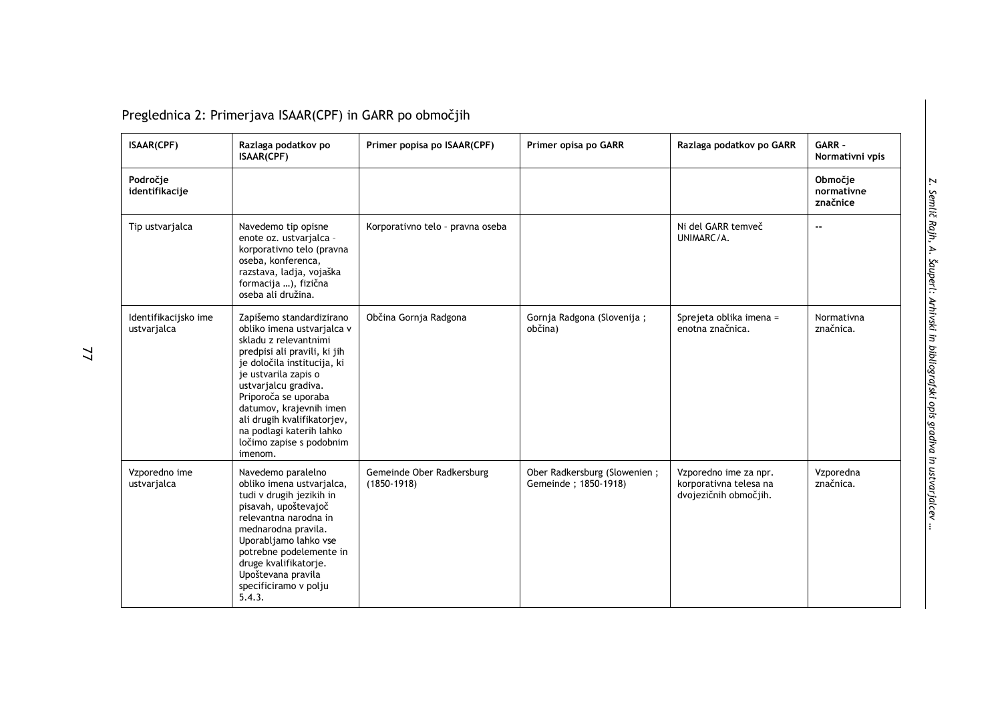Preglednica 2: Primerjava ISAAR(CPF) in GARR po območjih

| ISAAR(CPF)                          | Razlaga podatkov po<br>ISAAR(CPF)                                                                                                                                                                                                                                                                                                                   | Primer popisa po ISAAR(CPF)                  | Primer opisa po GARR                                 | Razlaga podatkov po GARR                                                 | GARR -<br>Normativni vpis         |
|-------------------------------------|-----------------------------------------------------------------------------------------------------------------------------------------------------------------------------------------------------------------------------------------------------------------------------------------------------------------------------------------------------|----------------------------------------------|------------------------------------------------------|--------------------------------------------------------------------------|-----------------------------------|
| Področje<br>identifikacije          |                                                                                                                                                                                                                                                                                                                                                     |                                              |                                                      |                                                                          | Območje<br>normativne<br>značnice |
| Tip ustvarjalca                     | Navedemo tip opisne<br>enote oz. ustvarjalca -<br>korporativno telo (pravna<br>oseba, konferenca,<br>razstava, ladja, vojaška<br>formacija ), fizična<br>oseba ali družina.                                                                                                                                                                         | Korporativno telo - pravna oseba             |                                                      | Ni del GARR temveč<br>UNIMARC/A.                                         | $\sim$ $\sim$                     |
| Identifikacijsko ime<br>ustvarjalca | Zapišemo standardizirano<br>obliko imena ustvarjalca v<br>skladu z relevantnimi<br>predpisi ali pravili, ki jih<br>je določila institucija, ki<br>je ustvarila zapis o<br>ustvarjalcu gradiva.<br>Priporoča se uporaba<br>datumov, krajevnih imen<br>ali drugih kvalifikatorjev,<br>na podlagi katerih lahko<br>ločimo zapise s podobnim<br>imenom. | Občina Gornja Radgona                        | Gornja Radgona (Slovenija;<br>občina)                | Sprejeta oblika imena =<br>enotna značnica.                              | Normativna<br>značnica.           |
| Vzporedno ime<br>ustvarjalca        | Navedemo paralelno<br>obliko imena ustvarjalca,<br>tudi v drugih jezikih in<br>pisavah, upoštevajoč<br>relevantna narodna in<br>mednarodna pravila.<br>Uporabljamo lahko vse<br>potrebne podelemente in<br>druge kvalifikatorje.<br>Upoštevana pravila<br>specificiramo v polju<br>5.4.3.                                                           | Gemeinde Ober Radkersburg<br>$(1850 - 1918)$ | Ober Radkersburg (Slowenien;<br>Gemeinde; 1850-1918) | Vzporedno ime za npr.<br>korporativna telesa na<br>dvojezičnih območjih. | Vzporedna<br>značnica.            |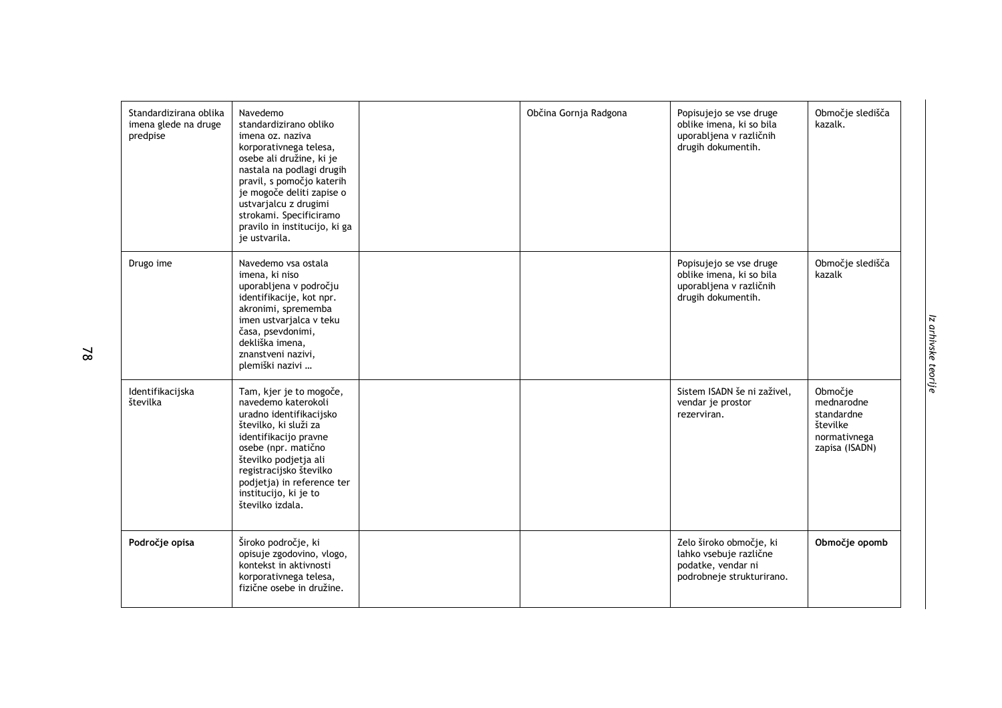| Standardizirana oblika<br>imena glede na druge<br>predpise | Navedemo<br>standardizirano obliko<br>imena oz. naziva<br>korporativnega telesa,<br>osebe ali družine, ki je<br>nastala na podlagi drugih<br>pravil, s pomočjo katerih<br>je mogoče deliti zapise o<br>ustvarjalcu z drugimi<br>strokami. Specificiramo<br>pravilo in institucijo, ki ga<br>je ustvarila. | Občina Gornja Radgona | Popisujejo se vse druge<br>oblike imena, ki so bila<br>uporabljena v različnih<br>drugih dokumentih. | Območje sledišča<br>kazalk.                                                       |
|------------------------------------------------------------|-----------------------------------------------------------------------------------------------------------------------------------------------------------------------------------------------------------------------------------------------------------------------------------------------------------|-----------------------|------------------------------------------------------------------------------------------------------|-----------------------------------------------------------------------------------|
| Drugo ime                                                  | Navedemo vsa ostala<br>imena, ki niso<br>uporabljena v področju<br>identifikacije, kot npr.<br>akronimi, sprememba<br>imen ustvarjalca v teku<br>časa, psevdonimi,<br>dekliška imena,<br>znanstveni nazivi,<br>plemiški nazivi                                                                            |                       | Popisujejo se vse druge<br>oblike imena, ki so bila<br>uporabljena v različnih<br>drugih dokumentih. | Območje sledišča<br>kazalk                                                        |
| Identifikacijska<br>številka                               | Tam, kjer je to mogoče,<br>navedemo katerokoli<br>uradno identifikacijsko<br>številko, ki služi za<br>identifikacijo pravne<br>osebe (npr. matično<br>številko podjetja ali<br>registracijsko številko<br>podjetja) in reference ter<br>institucijo, ki je to<br>številko izdala.                         |                       | Sistem ISADN še ni zaživel,<br>vendar je prostor<br>rezerviran.                                      | Območje<br>mednarodne<br>standardne<br>številke<br>normativnega<br>zapisa (ISADN) |
| Področje opisa                                             | Široko področje, ki<br>opisuje zgodovino, vlogo,<br>kontekst in aktivnosti<br>korporativnega telesa,<br>fizične osebe in družine.                                                                                                                                                                         |                       | Zelo široko območje, ki<br>lahko vsebuje različne<br>podatke, vendar ni<br>podrobneje strukturirano. | Območje opomb                                                                     |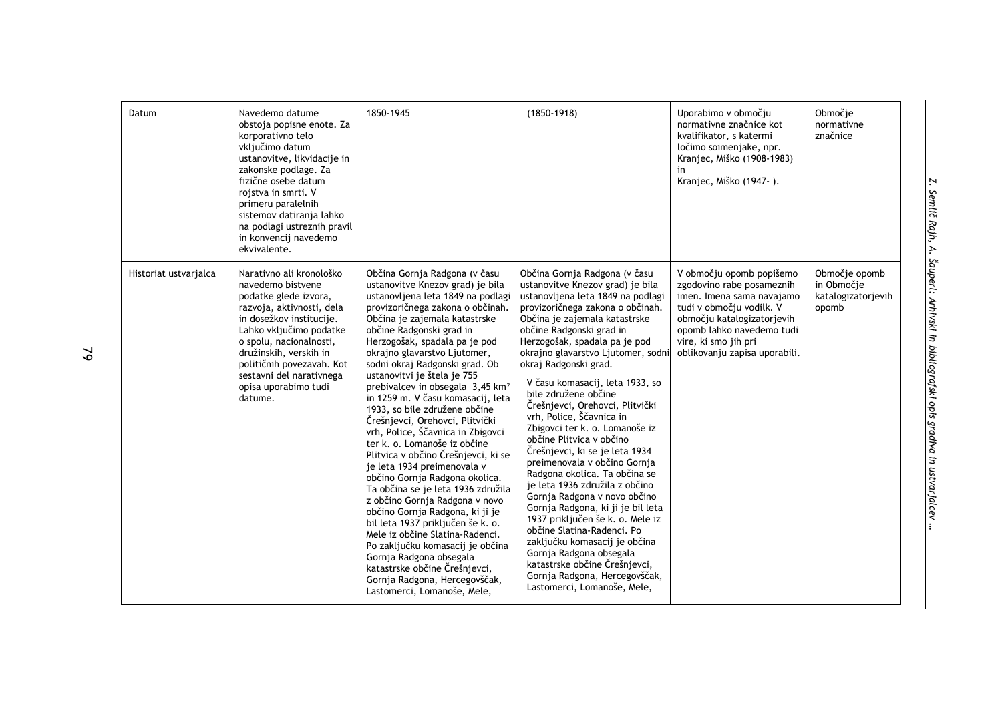| Datum                 | Navedemo datume<br>obstoja popisne enote. Za<br>korporativno telo<br>vključimo datum<br>ustanovitve, likvidacije in<br>zakonske podlage. Za<br>fizične osebe datum<br>rojstva in smrti. V<br>primeru paralelnih<br>sistemov datiranja lahko<br>na podlagi ustreznih pravil<br>in konvencij navedemo<br>ekvivalente. | 1850-1945                                                                                                                                                                                                                                                                                                                                                                                                                                                                                                                                                                                                                                                                                                                                                                                                                                                                                                                                                                                                                          | $(1850 - 1918)$                                                                                                                                                                                                                                                                                                                                                                                                                                                                                                                                                                                                                                                                                                                                                                                                                                                                                                                          | Uporabimo v območju<br>normativne značnice kot<br>kvalifikator, s katermi<br>ločimo soimenjake, npr.<br>Kranjec, Miško (1908-1983)<br>in<br>Kranjec, Miško (1947-).                                                                | Območje<br>normativne<br>značnice                          |
|-----------------------|---------------------------------------------------------------------------------------------------------------------------------------------------------------------------------------------------------------------------------------------------------------------------------------------------------------------|------------------------------------------------------------------------------------------------------------------------------------------------------------------------------------------------------------------------------------------------------------------------------------------------------------------------------------------------------------------------------------------------------------------------------------------------------------------------------------------------------------------------------------------------------------------------------------------------------------------------------------------------------------------------------------------------------------------------------------------------------------------------------------------------------------------------------------------------------------------------------------------------------------------------------------------------------------------------------------------------------------------------------------|------------------------------------------------------------------------------------------------------------------------------------------------------------------------------------------------------------------------------------------------------------------------------------------------------------------------------------------------------------------------------------------------------------------------------------------------------------------------------------------------------------------------------------------------------------------------------------------------------------------------------------------------------------------------------------------------------------------------------------------------------------------------------------------------------------------------------------------------------------------------------------------------------------------------------------------|------------------------------------------------------------------------------------------------------------------------------------------------------------------------------------------------------------------------------------|------------------------------------------------------------|
| Historiat ustvarjalca | Narativno ali kronološko<br>navedemo bistvene<br>podatke glede izvora,<br>razvoja, aktivnosti, dela<br>in dosežkov institucije.<br>Lahko vključimo podatke<br>o spolu, nacionalnosti,<br>družinskih, verskih in<br>političnih povezavah. Kot<br>sestavni del narativnega<br>opisa uporabimo tudi<br>datume.         | Občina Gornja Radgona (v času<br>ustanovitve Knezov grad) je bila<br>ustanovljena leta 1849 na podlagi<br>provizoričnega zakona o občinah.<br>Občina je zajemala katastrske<br>občine Radgonski grad in<br>Herzogošak, spadala pa je pod<br>okrajno glavarstvo Ljutomer,<br>sodni okraj Radgonski grad. Ob<br>ustanovitvi je štela je 755<br>prebivalcev in obsegala 3,45 km <sup>2</sup><br>in 1259 m. V času komasacij, leta<br>1933, so bile združene občine<br>Črešnjevci, Orehovci, Plitvički<br>vrh, Police, Ščavnica in Zbigovci<br>ter k. o. Lomanoše iz občine<br>Plitvica v občino Črešnjevci, ki se<br>je leta 1934 preimenovala v<br>občino Gornja Radgona okolica.<br>Ta občina se je leta 1936 združila<br>z občino Gornja Radgona v novo<br>občino Gornja Radgona, ki ji je<br>bil leta 1937 priključen še k. o.<br>Mele iz občine Slatina-Radenci.<br>Po zaključku komasacij je občina<br>Gornja Radgona obsegala<br>katastrske občine Črešnjevci,<br>Gornja Radgona, Hercegovščak,<br>Lastomerci, Lomanoše, Mele, | Občina Gornja Radgona (v času<br>ustanovitve Knezov grad) je bila<br>ustanovljena leta 1849 na podlagi<br>provizoričnega zakona o občinah.<br>Občina je zajemala katastrske<br>občine Radgonski grad in<br>Herzogošak, spadala pa je pod<br>okrajno glavarstvo Ljutomer, sodni<br>okraj Radgonski grad.<br>V času komasacij, leta 1933, so<br>bile združene občine<br>Črešnjevci, Orehovci, Plitvički<br>vrh, Police, Ščavnica in<br>Zbigovci ter k. o. Lomanoše iz<br>občine Plitvica v občino<br>Črešnjevci, ki se je leta 1934<br>preimenovala v občino Gornja<br>Radgona okolica. Ta občina se<br>je leta 1936 združila z občino<br>Gornja Radgona v novo občino<br>Gornja Radgona, ki ji je bil leta<br>1937 priključen še k. o. Mele iz<br>občine Slatina-Radenci. Po<br>zaključku komasacij je občina<br>Gornja Radgona obsegala<br>katastrske občine Črešnjevci,<br>Gornja Radgona, Hercegovščak,<br>Lastomerci, Lomanoše, Mele, | V območju opomb popišemo<br>zgodovino rabe posameznih<br>imen. Imena sama navajamo<br>tudi v območju vodilk. V<br>območju katalogizatorjevih<br>opomb lahko navedemo tudi<br>vire, ki smo jih pri<br>oblikovanju zapisa uporabili. | Območje opomb<br>in Območje<br>katalogizatorjevih<br>opomb |

 $\mathcal{P}$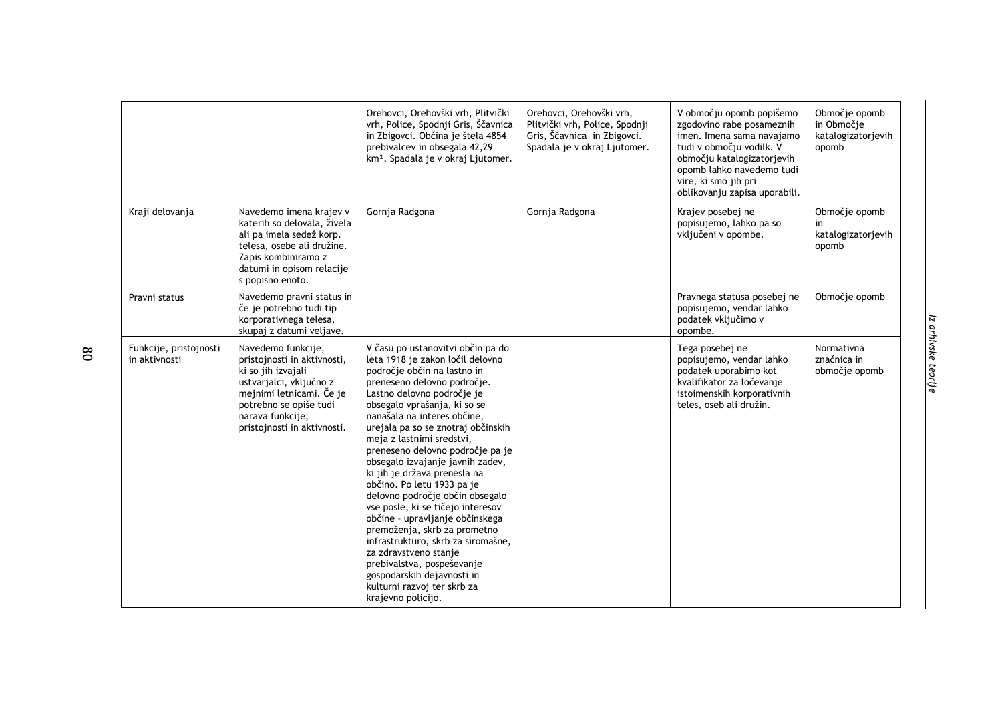|                                         |                                                                                                                                                                                                             | Orehovci, Orehovški vrh, Plitvički<br>vrh, Police, Spodnji Gris, Ščavnica<br>in Zbigovci. Občina je štela 4854<br>prebivalcev in obsegala 42,29<br>km <sup>2</sup> . Spadala je v okraj Ljutomer.                                                                                                                                                                                                                                                                                                                                                                                                                                                                                                                                                                    | Orehovci, Orehovški vrh,<br>Plitvički vrh, Police, Spodnji<br>Gris, Ščavnica in Zbigovci.<br>Spadala je v okraj Ljutomer. | V območju opomb popišemo<br>zgodovino rabe posameznih<br>imen. Imena sama navajamo<br>tudi v območju vodilk. V<br>območju katalogizatorjevih<br>opomb lahko navedemo tudi<br>vire, ki smo jih pri<br>oblikovanju zapisa uporabili. | Območje opomb<br>in Območje<br>katalogizatorjevih<br>opomb |
|-----------------------------------------|-------------------------------------------------------------------------------------------------------------------------------------------------------------------------------------------------------------|----------------------------------------------------------------------------------------------------------------------------------------------------------------------------------------------------------------------------------------------------------------------------------------------------------------------------------------------------------------------------------------------------------------------------------------------------------------------------------------------------------------------------------------------------------------------------------------------------------------------------------------------------------------------------------------------------------------------------------------------------------------------|---------------------------------------------------------------------------------------------------------------------------|------------------------------------------------------------------------------------------------------------------------------------------------------------------------------------------------------------------------------------|------------------------------------------------------------|
| Kraji delovanja                         | Navedemo imena krajev v<br>katerih so delovala, živela<br>ali pa imela sedež korp.<br>telesa, osebe ali družine.<br>Zapis kombiniramo z<br>datumi in opisom relacije<br>s popisno enoto.                    | Gornja Radgona                                                                                                                                                                                                                                                                                                                                                                                                                                                                                                                                                                                                                                                                                                                                                       | Gornja Radgona                                                                                                            | Krajev posebej ne<br>popisujemo, lahko pa so<br>vključeni v opombe.                                                                                                                                                                | Območje opomb<br>in<br>katalogizatorjevih<br>opomb         |
| Pravni status                           | Navedemo pravni status in<br>če je potrebno tudi tip<br>korporativnega telesa,<br>skupaj z datumi veljave.                                                                                                  |                                                                                                                                                                                                                                                                                                                                                                                                                                                                                                                                                                                                                                                                                                                                                                      |                                                                                                                           | Pravnega statusa posebej ne<br>popisujemo, vendar lahko<br>podatek vključimo v<br>opombe.                                                                                                                                          | Območje opomb                                              |
| Funkcije, pristojnosti<br>in aktivnosti | Navedemo funkcije,<br>pristojnosti in aktivnosti,<br>ki so jih izvajali<br>ustvarjalci, vključno z<br>mejnimi letnicami. Če je<br>potrebno se opiše tudi<br>narava funkcije,<br>pristojnosti in aktivnosti. | V času po ustanovitvi občin pa do<br>leta 1918 je zakon ločil delovno<br>področje občin na lastno in<br>preneseno delovno področje.<br>Lastno delovno področje je<br>obsegalo vprašanja, ki so se<br>nanašala na interes občine,<br>urejala pa so se znotraj občinskih<br>meja z lastnimi sredstvi,<br>preneseno delovno področje pa je<br>obsegalo izvajanje javnih zadev,<br>ki jih je država prenesla na<br>občino. Po letu 1933 pa je<br>delovno področje občin obsegalo<br>vse posle, ki se tičejo interesov<br>občine - upravljanje občinskega<br>premoženja, skrb za prometno<br>infrastrukturo, skrb za siromašne,<br>za zdravstveno stanje<br>prebivalstva, pospeševanje<br>gospodarskih dejavnosti in<br>kulturni razvoj ter skrb za<br>krajevno policijo. |                                                                                                                           | Tega posebej ne<br>popisujemo, vendar lahko<br>podatek uporabimo kot<br>kvalifikator za ločevanje<br>istoimenskih korporativnih<br>teles, oseb ali družin.                                                                         | Normativna<br>značnica in<br>območje opomb                 |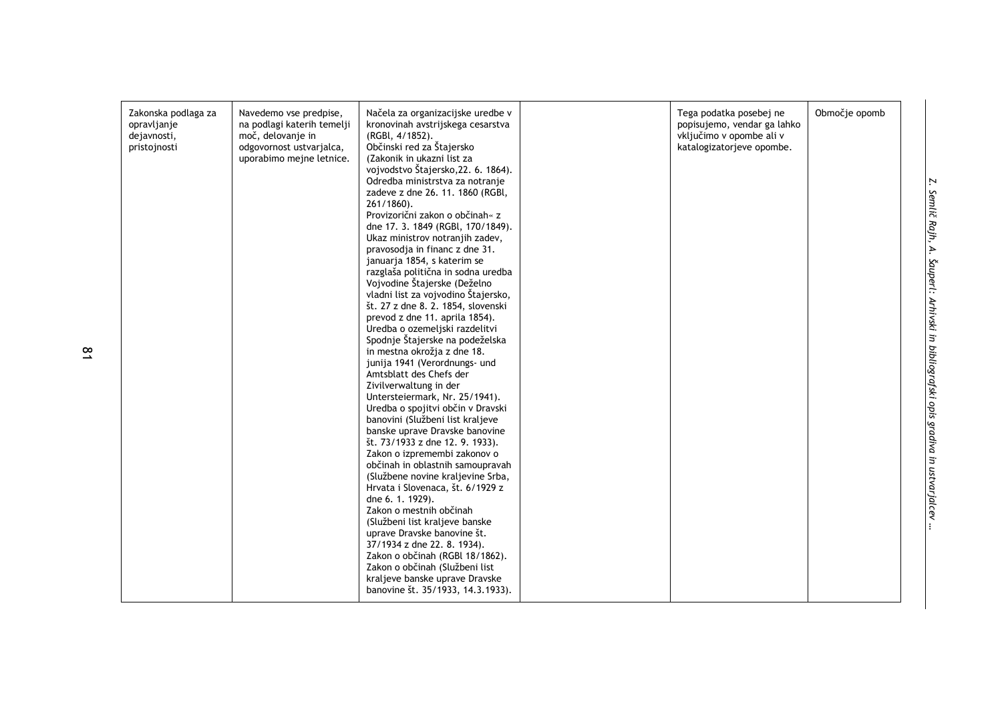| Zakonska podlaga za<br>opravljanje<br>dejavnosti,<br>pristojnosti | Navedemo vse predpise,<br>na podlagi katerih temelji<br>moč, delovanje in<br>odgovornost ustvarjalca,<br>uporabimo mejne letnice. | Načela za organizacijske uredbe v<br>kronovinah avstrijskega cesarstva<br>(RGBI, 4/1852).<br>Občinski red za Štajersko<br>(Zakonik in ukazni list za<br>vojvodstvo Štajersko, 22. 6. 1864).<br>Odredba ministrstva za notranje<br>zadeve z dne 26. 11. 1860 (RGBI,<br>$261/1860$ ).<br>Provizorični zakon o občinah« z<br>dne 17. 3. 1849 (RGBI, 170/1849).<br>Ukaz ministrov notranjih zadev,<br>pravosodia in financ z dne 31.<br>januarja 1854, s katerim se<br>razglaša politična in sodna uredba<br>Vojvodine Štajerske (Deželno<br>vladni list za vojvodino Štajersko,<br>št. 27 z dne 8. 2. 1854, slovenski<br>prevod z dne 11. aprila 1854).<br>Uredba o ozemeljski razdelitvi<br>Spodnje Štajerske na podeželska<br>in mestna okrožia z dne 18.<br>junija 1941 (Verordnungs- und<br>Amtsblatt des Chefs der<br>Zivilverwaltung in der<br>Untersteiermark, Nr. 25/1941).<br>Uredba o spojitvi občin v Dravski<br>banovini (Službeni list kraljeve<br>banske uprave Dravske banovine<br>št. 73/1933 z dne 12. 9. 1933).<br>Zakon o izpremembi zakonov o<br>občinah in oblastnih samoupravah<br>(Službene novine kraljevine Srba, | Tega podatka posebej ne<br>popisujemo, vendar ga lahko<br>vključimo v opombe ali v<br>katalogizatorjeve opombe. | Območje opomb |
|-------------------------------------------------------------------|-----------------------------------------------------------------------------------------------------------------------------------|-----------------------------------------------------------------------------------------------------------------------------------------------------------------------------------------------------------------------------------------------------------------------------------------------------------------------------------------------------------------------------------------------------------------------------------------------------------------------------------------------------------------------------------------------------------------------------------------------------------------------------------------------------------------------------------------------------------------------------------------------------------------------------------------------------------------------------------------------------------------------------------------------------------------------------------------------------------------------------------------------------------------------------------------------------------------------------------------------------------------------------------------|-----------------------------------------------------------------------------------------------------------------|---------------|
|                                                                   |                                                                                                                                   | Hrvata i Slovenaca, št. 6/1929 z<br>dne 6. 1. 1929).<br>Zakon o mestnih občinah<br>(Službeni list kraljeve banske<br>uprave Dravske banovine št.<br>37/1934 z dne 22. 8. 1934).<br>Zakon o občinah (RGBl 18/1862).                                                                                                                                                                                                                                                                                                                                                                                                                                                                                                                                                                                                                                                                                                                                                                                                                                                                                                                      |                                                                                                                 |               |
|                                                                   |                                                                                                                                   | Zakon o občinah (Službeni list<br>kraljeve banske uprave Dravske<br>banovine št. 35/1933, 14.3.1933).                                                                                                                                                                                                                                                                                                                                                                                                                                                                                                                                                                                                                                                                                                                                                                                                                                                                                                                                                                                                                                   |                                                                                                                 |               |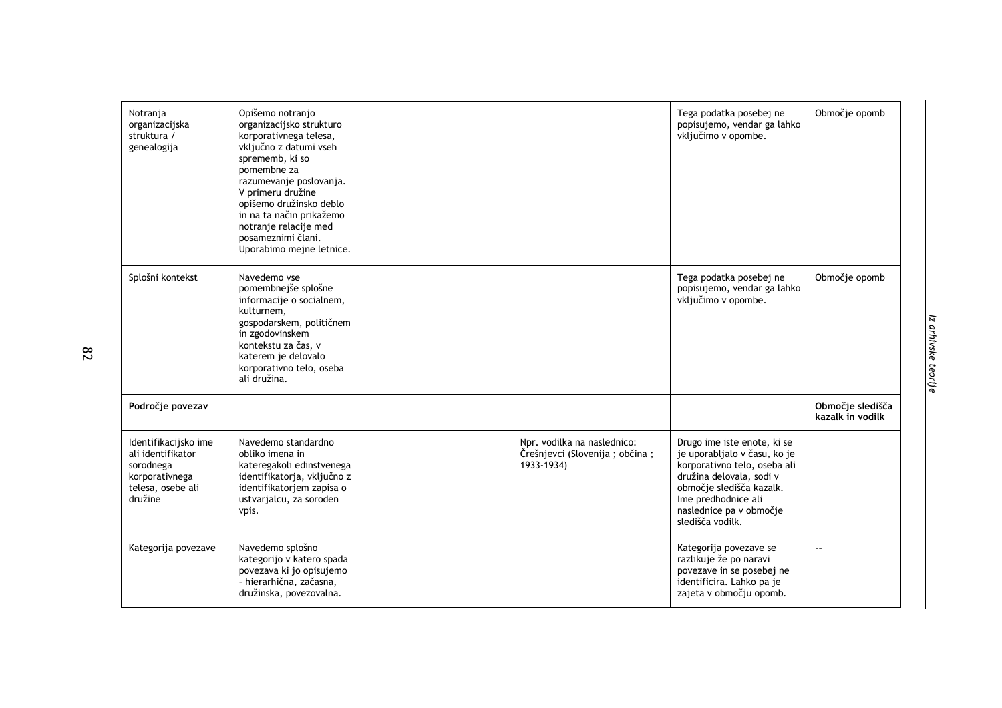| Notranja<br>organizacijska<br>struktura /<br>genealogija                                                 | Opišemo notranjo<br>organizacijsko strukturo<br>korporativnega telesa,<br>vključno z datumi vseh<br>sprememb, ki so<br>pomembne za<br>razumevanje poslovanja.<br>V primeru družine<br>opišemo družinsko deblo<br>in na ta način prikažemo<br>notranje relacije med<br>posameznimi člani.<br>Uporabimo mejne letnice. |                                                                               | Tega podatka posebej ne<br>popisujemo, vendar ga lahko<br>vključimo v opombe.                                                                                                                                             | Območje opomb                        |
|----------------------------------------------------------------------------------------------------------|----------------------------------------------------------------------------------------------------------------------------------------------------------------------------------------------------------------------------------------------------------------------------------------------------------------------|-------------------------------------------------------------------------------|---------------------------------------------------------------------------------------------------------------------------------------------------------------------------------------------------------------------------|--------------------------------------|
| Splošni kontekst                                                                                         | Navedemo vse<br>pomembnejše splošne<br>informacije o socialnem,<br>kulturnem,<br>gospodarskem, političnem<br>in zgodovinskem<br>kontekstu za čas, v<br>katerem je delovalo<br>korporativno telo, oseba<br>ali družina.                                                                                               |                                                                               | Tega podatka posebej ne<br>popisujemo, vendar ga lahko<br>vključimo v opombe.                                                                                                                                             | Območje opomb                        |
| Področje povezav                                                                                         |                                                                                                                                                                                                                                                                                                                      |                                                                               |                                                                                                                                                                                                                           | Območje sledišča<br>kazalk in vodilk |
| Identifikacijsko ime<br>ali identifikator<br>sorodnega<br>korporativnega<br>telesa, osebe ali<br>družine | Navedemo standardno<br>obliko imena in<br>kateregakoli edinstvenega<br>identifikatorja, vključno z<br>identifikatorjem zapisa o<br>ustvarjalcu, za soroden<br>vpis.                                                                                                                                                  | Npr. vodilka na naslednico:<br>Črešnjevci (Slovenija ; občina ;<br>1933-1934) | Drugo ime iste enote, ki se<br>je uporabljalo v času, ko je<br>korporativno telo, oseba ali<br>družina delovala, sodi v<br>območje sledišča kazalk.<br>Ime predhodnice ali<br>naslednice pa v območje<br>sledišča vodilk. |                                      |
| Kategorija povezave                                                                                      | Navedemo splošno<br>kategorijo v katero spada<br>povezava ki jo opisujemo<br>- hierarhična, začasna,<br>družinska, povezovalna.                                                                                                                                                                                      |                                                                               | Kategorija povezave se<br>razlikuje že po naravi<br>povezave in se posebej ne<br>identificira. Lahko pa je<br>zajeta v območju opomb.                                                                                     | $-$                                  |

**82**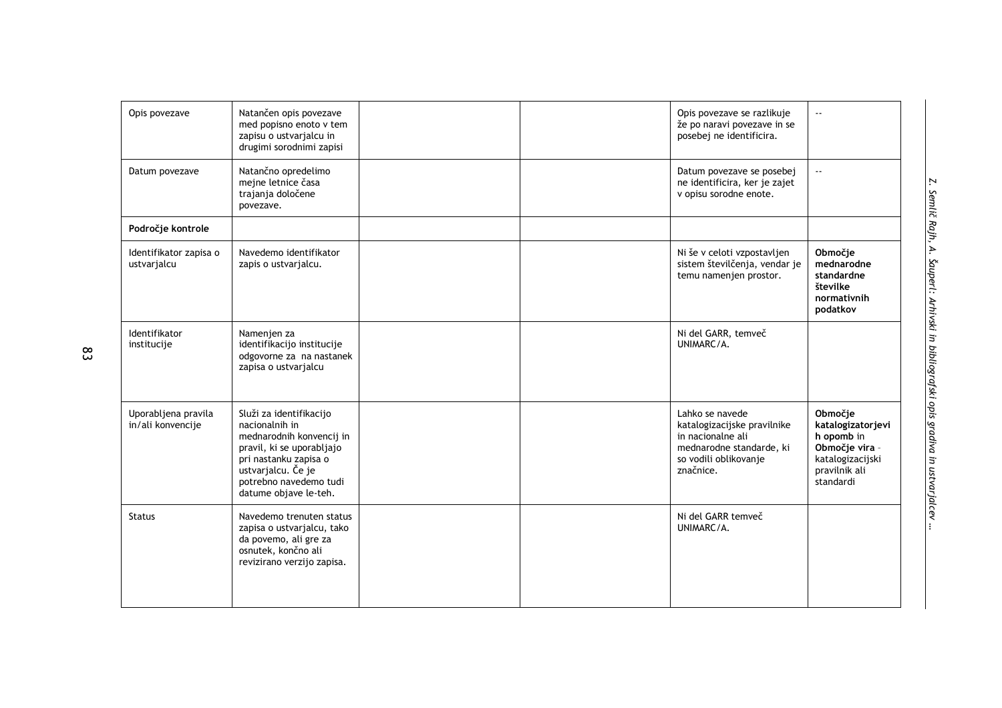| Opis povezave                            | Natančen opis povezave<br>med popisno enoto v tem<br>zapisu o ustvarjalcu in<br>drugimi sorodnimi zapisi                                                                                             |  | Opis povezave se razlikuje<br>že po naravi povezave in se<br>posebej ne identificira.                                                 | $\sim$ $\sim$                                                                                                  |
|------------------------------------------|------------------------------------------------------------------------------------------------------------------------------------------------------------------------------------------------------|--|---------------------------------------------------------------------------------------------------------------------------------------|----------------------------------------------------------------------------------------------------------------|
| Datum povezave                           | Natančno opredelimo<br>mejne letnice časa<br>trajanja določene<br>povezave.                                                                                                                          |  | Datum povezave se posebej<br>ne identificira, ker je zajet<br>v opisu sorodne enote.                                                  | $\sim$ $\sim$                                                                                                  |
| Področje kontrole                        |                                                                                                                                                                                                      |  |                                                                                                                                       |                                                                                                                |
| Identifikator zapisa o<br>ustvarjalcu    | Navedemo identifikator<br>zapis o ustvarjalcu.                                                                                                                                                       |  | Ni še v celoti vzpostavljen<br>sistem številčenja, vendar je<br>temu namenjen prostor.                                                | Območje<br>mednarodne<br>standardne<br>številke<br>normativnih<br>podatkov                                     |
| Identifikator<br>institucije             | Namenjen za<br>identifikacijo institucije<br>odgovorne za na nastanek<br>zapisa o ustvarjalcu                                                                                                        |  | Ni del GARR, temveč<br>UNIMARC/A.                                                                                                     |                                                                                                                |
| Uporabljena pravila<br>in/ali konvencije | Služi za identifikacijo<br>nacionalnih in<br>mednarodnih konvencij in<br>pravil, ki se uporabljajo<br>pri nastanku zapisa o<br>ustvarjalcu. Če je<br>potrebno navedemo tudi<br>datume objave le-teh. |  | Lahko se navede<br>katalogizacijske pravilnike<br>in nacionalne ali<br>mednarodne standarde, ki<br>so vodili oblikovanje<br>značnice. | Območie<br>katalogizatorjevi<br>h opomb in<br>Območje vira -<br>katalogizacijski<br>pravilnik ali<br>standardi |
| <b>Status</b>                            | Navedemo trenuten status<br>zapisa o ustvarjalcu, tako<br>da povemo, ali gre za<br>osnutek, končno ali<br>revizirano verzijo zapisa.                                                                 |  | Ni del GARR temveč<br>UNIMARC/A.                                                                                                      |                                                                                                                |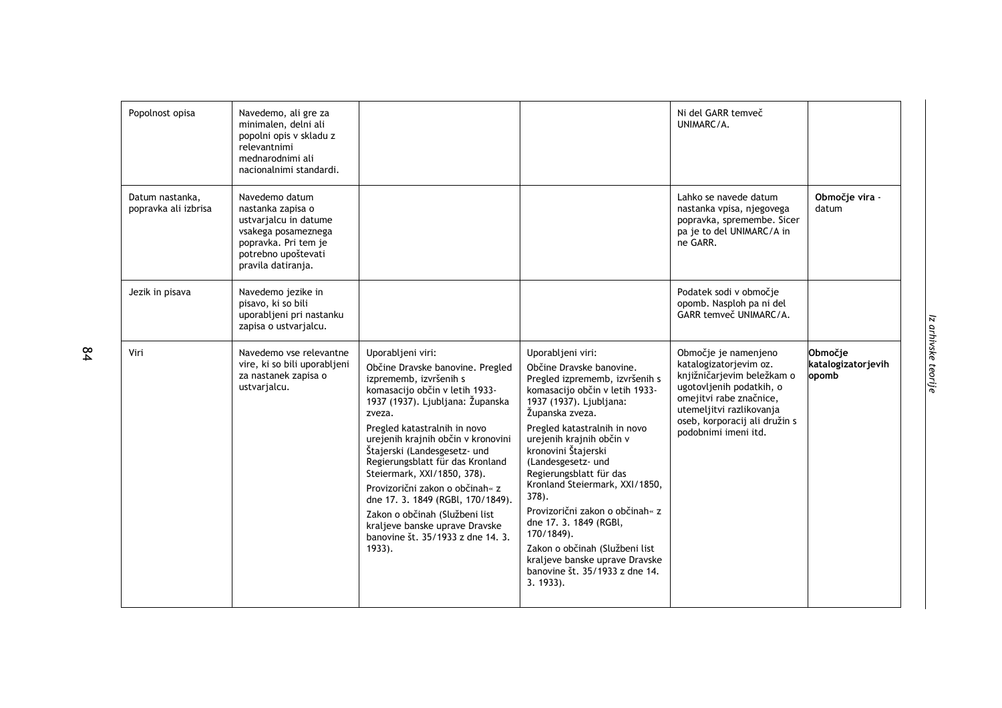| Popolnost opisa                         | Navedemo, ali gre za<br>minimalen, delni ali<br>popolni opis v skladu z<br>relevantnimi<br>mednarodnimi ali<br>nacionalnimi standardi.                   |                                                                                                                                                                                                                                                                                                                                                                                                                                                                                                                                       |                                                                                                                                                                                                                                                                                                                                                                                                                                                                                                                                                | Ni del GARR temveč<br>UNIMARC/A.                                                                                                                                                                                         |                                        |
|-----------------------------------------|----------------------------------------------------------------------------------------------------------------------------------------------------------|---------------------------------------------------------------------------------------------------------------------------------------------------------------------------------------------------------------------------------------------------------------------------------------------------------------------------------------------------------------------------------------------------------------------------------------------------------------------------------------------------------------------------------------|------------------------------------------------------------------------------------------------------------------------------------------------------------------------------------------------------------------------------------------------------------------------------------------------------------------------------------------------------------------------------------------------------------------------------------------------------------------------------------------------------------------------------------------------|--------------------------------------------------------------------------------------------------------------------------------------------------------------------------------------------------------------------------|----------------------------------------|
| Datum nastanka,<br>popravka ali izbrisa | Navedemo datum<br>nastanka zapisa o<br>ustvarialcu in datume<br>vsakega posameznega<br>popravka. Pri tem je<br>potrebno upoštevati<br>pravila datiranja. |                                                                                                                                                                                                                                                                                                                                                                                                                                                                                                                                       |                                                                                                                                                                                                                                                                                                                                                                                                                                                                                                                                                | Lahko se navede datum<br>nastanka vpisa, njegovega<br>popravka, spremembe. Sicer<br>pa je to del UNIMARC/A in<br>ne GARR.                                                                                                | Območje vira -<br>datum                |
| Jezik in pisava                         | Navedemo jezike in<br>pisavo, ki so bili<br>uporabljeni pri nastanku<br>zapisa o ustvarjalcu.                                                            |                                                                                                                                                                                                                                                                                                                                                                                                                                                                                                                                       |                                                                                                                                                                                                                                                                                                                                                                                                                                                                                                                                                | Podatek sodi v območje<br>opomb. Nasploh pa ni del<br>GARR temveč UNIMARC/A.                                                                                                                                             |                                        |
| Viri                                    | Navedemo vse relevantne<br>vire, ki so bili uporabljeni<br>za nastanek zapisa o<br>ustvarjalcu.                                                          | Uporabljeni viri:<br>Občine Dravske banovine. Pregled<br>izprememb, izvršenih s<br>komasacijo občin v letih 1933-<br>1937 (1937). Ljubljana: Županska<br>zveza.<br>Pregled katastralnih in novo<br>urejenih krajnih občin v kronovini<br>Štajerski (Landesgesetz- und<br>Regierungsblatt für das Kronland<br>Steiermark, XXI/1850, 378).<br>Provizorični zakon o občinah« z<br>dne 17. 3. 1849 (RGBI, 170/1849).<br>Zakon o občinah (Službeni list<br>kraljeve banske uprave Dravske<br>banovine št. 35/1933 z dne 14. 3.<br>$1933$ . | Uporabljeni viri:<br>Občine Dravske banovine.<br>Pregled izprememb, izvršenih s<br>komasacijo občin v letih 1933-<br>1937 (1937). Ljubljana:<br>Županska zveza.<br>Pregled katastralnih in novo<br>urejenih krajnih občin v<br>kronovini Štajerski<br>(Landesgesetz- und<br>Regierungsblatt für das<br>Kronland Steiermark, XXI/1850,<br>$378$ .<br>Provizorični zakon o občinah« z<br>dne 17. 3. 1849 (RGBI,<br>170/1849).<br>Zakon o občinah (Službeni list<br>kraljeve banske uprave Dravske<br>banovine št. 35/1933 z dne 14.<br>3. 1933). | Območje je namenjeno<br>katalogizatorjevim oz.<br>knjižničarjevim beležkam o<br>ugotovljenih podatkih, o<br>omejitvi rabe značnice,<br>utemeljitvi razlikovanja<br>oseb, korporacij ali družin s<br>podobnimi imeni itd. | Območje<br>katalogizatorjevih<br>opomb |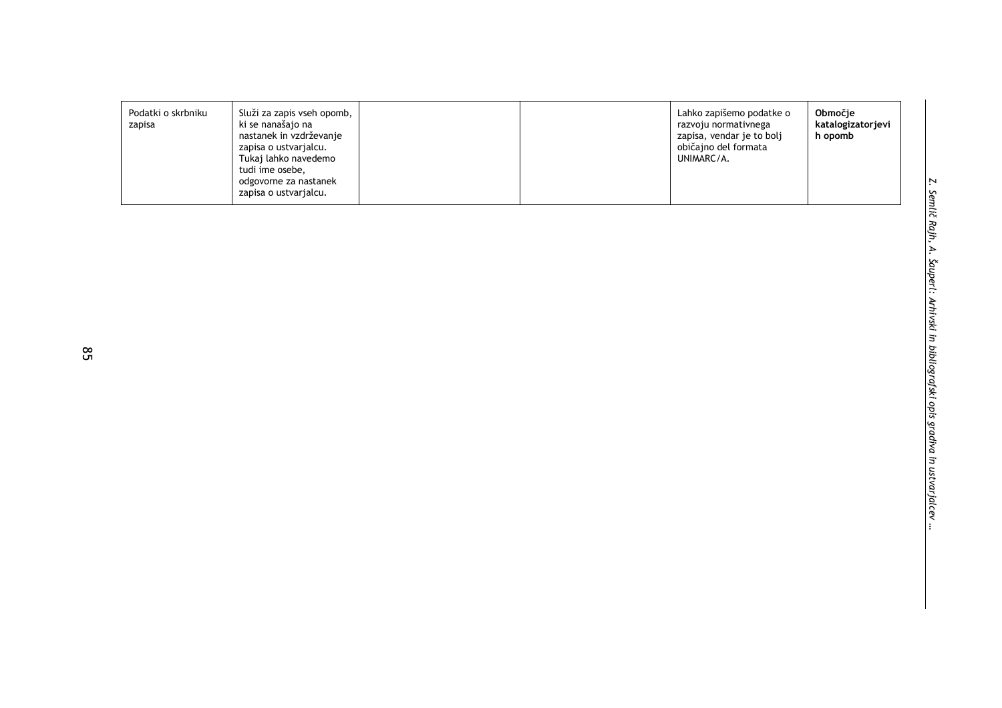| Podatki o skrbniku<br>Služi za zapis vseh opomb,<br>ki se nanašajo na<br>zapisa<br>nastanek in vzdrževanje<br>zapisa o ustvarjalcu.<br>Tukaj lahko navedemo<br>tudi ime osebe,<br>odgovorne za nastanek<br>zapisa o ustvarjalcu. |  |  | Lahko zapišemo podatke o<br>razvoju normativnega<br>zapisa, vendar je to bolj<br>običajno del formata<br>UNIMARC/A. | Območie<br>katalogizatorjevi<br>h opomb |
|----------------------------------------------------------------------------------------------------------------------------------------------------------------------------------------------------------------------------------|--|--|---------------------------------------------------------------------------------------------------------------------|-----------------------------------------|
|----------------------------------------------------------------------------------------------------------------------------------------------------------------------------------------------------------------------------------|--|--|---------------------------------------------------------------------------------------------------------------------|-----------------------------------------|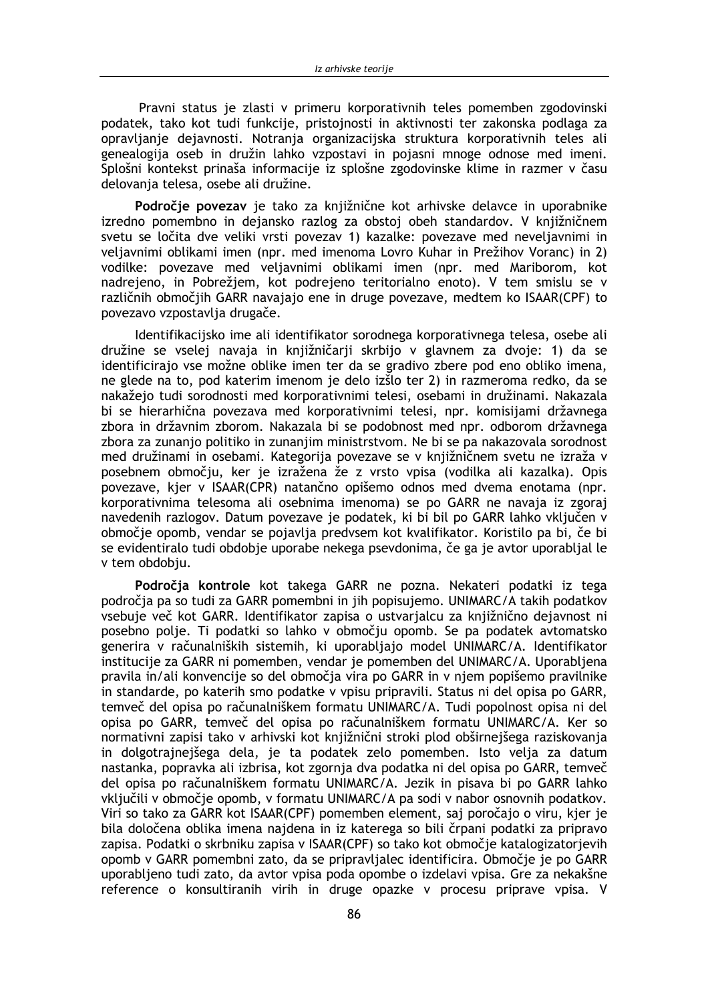Pravni status je zlasti v primeru korporativnih teles pomemben zgodovinski podatek, tako kot tudi funkcije, pristojnosti in aktivnosti ter zakonska podlaga za opravlianie deiavnosti. Notrania organizaciiska struktura korporativnih teles ali genealogija oseb in družin lahko vzpostavi in pojasni mnoge odnose med imeni. Splošni kontekst prinaša informacije iz splošne zgodovinske klime in razmer v času delovanja telesa, osebe ali družine.

Področje povezav je tako za knjižnične kot arhivske delavce in uporabnike izredno pomembno in dejansko razlog za obstoj obeh standardov. V knjižničnem svetu se ločita dve veliki vrsti povezav 1) kazalke: povezave med neveljavnimi in veljavnimi oblikami imen (npr. med imenoma Lovro Kuhar in Prežihov Voranc) in 2) vodilke: povezave med veljavnimi oblikami imen (npr. med Mariborom, kot nadrejeno, in Pobrežjem, kot podrejeno teritorialno enoto). V tem smislu se v različnih območjih GARR navajajo ene in druge povezave, medtem ko ISAAR(CPF) to povezavo vzpostavlja drugače.

Identifikacijsko ime ali identifikator sorodnega korporativnega telesa, osebe ali družine se vselej navaja in knjižničarji skrbijo v glavnem za dvoje: 1) da se identificirajo vse možne oblike imen ter da se gradivo zbere pod eno obliko imena, ne glede na to, pod katerim imenom je delo izšlo ter 2) in razmeroma redko, da se nakažejo tudi sorodnosti med korporativnimi telesi, osebami in družinami. Nakazala bi se hierarhična povezava med korporativnimi telesi, npr. komisijami državnega zbora in državnim zborom. Nakazala bi se podobnost med npr. odborom državnega zbora za zunanjo politiko in zunanjim ministrstvom. Ne bi se pa nakazovala sorodnost med družinami in osebami. Kategorija povezave se v knjižničnem svetu ne izraža v posebnem območju, ker je izražena že z vrsto vpisa (vodilka ali kazalka). Opis povezave, kjer v ISAAR(CPR) natančno opišemo odnos med dvema enotama (npr. korporativnima telesoma ali osebnima imenoma) se po GARR ne navaja iz zgoraj navedenih razlogov. Datum povezave je podatek, ki bi bil po GARR lahko vključen v območje opomb, vendar se pojavlja predvsem kot kvalifikator. Koristilo pa bi, če bi se evidentiralo tudi obdobje uporabe nekega psevdonima, če ga je avtor uporabljal le v tem obdobju.

Področja kontrole kot takega GARR ne pozna. Nekateri podatki iz tega področia pa so tudi za GARR pomembni in jih popisujemo. UNIMARC/A takih podatkov vsebuje več kot GARR. Identifikator zapisa o ustvarjalcu za knjižnično dejavnost ni posebno polje. Ti podatki so lahko v območju opomb. Se pa podatek avtomatsko generira v računalniških sistemih, ki uporabljajo model UNIMARC/A. Identifikator institucije za GARR ni pomemben, vendar je pomemben del UNIMARC/A. Uporabljena pravila in/ali konvencije so del območja vira po GARR in v njem popišemo pravilnike in standarde, po katerih smo podatke v vpisu pripravili. Status ni del opisa po GARR, temveč del opisa po računalniškem formatu UNIMARC/A. Tudi popolnost opisa ni del opisa po GARR, temveč del opisa po računalniškem formatu UNIMARC/A. Ker so normativni zapisi tako v arhivski kot knjižnični stroki plod obširnejšega raziskovanja in dolgotrajnejšega dela, je ta podatek zelo pomemben. Isto velja za datum nastanka, popravka ali izbrisa, kot zgornja dva podatka ni del opisa po GARR, temveč del opisa po računalniškem formatu UNIMARC/A. Jezik in pisava bi po GARR lahko vključili v območje opomb, v formatu UNIMARC/A pa sodi v nabor osnovnih podatkov. Viri so tako za GARR kot ISAAR(CPF) pomemben element, saj poročajo o viru, kjer je bila določena oblika imena najdena in iz katerega so bili črpani podatki za pripravo zapisa. Podatki o skrbniku zapisa v ISAAR(CPF) so tako kot območje katalogizatorjevih opomb y GARR pomembni zato, da se pripravljalec identificira. Območje je po GARR uporabljeno tudi zato, da avtor vpisa poda opombe o izdelavi vpisa. Gre za nekakšne reference o konsultiranih virih in druge opazke v procesu priprave vpisa. V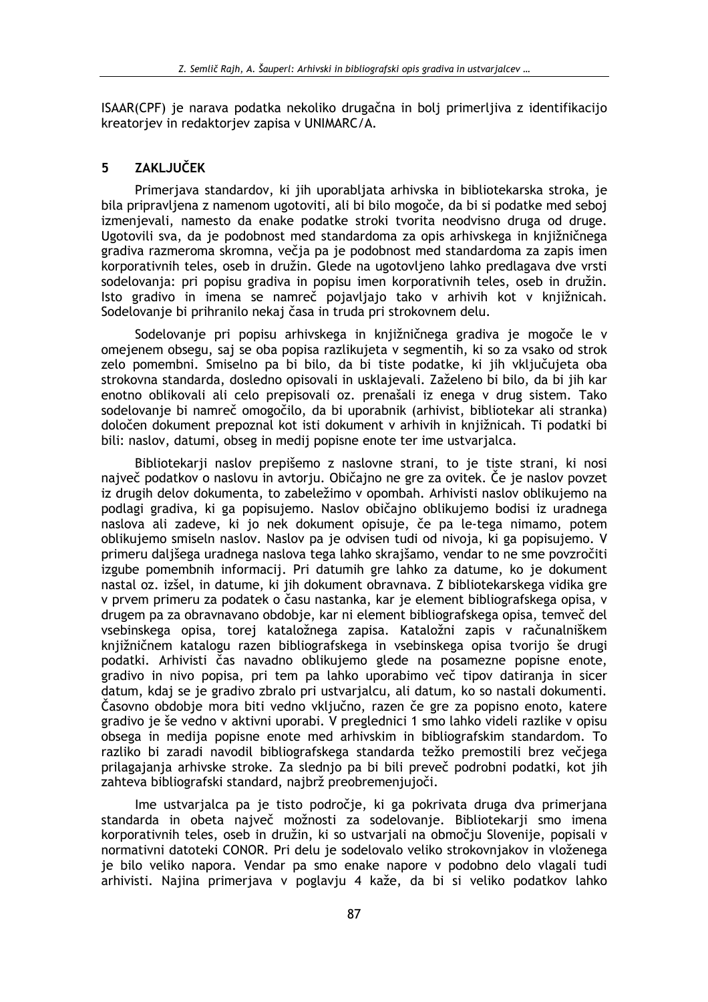ISAAR(CPF) je narava podatka nekoliko drugačna in bolj primerljiva z identifikacijo kreatoriev in redaktoriev zapisa v UNIMARC/A.

#### 5 **ZAKLJUČEK**

Primerjava standardov, ki jih uporabljata arhivska in bibliotekarska stroka, je bila pripravljena z namenom ugotoviti, ali bi bilo mogoče, da bi si podatke med seboj izmenjevali, namesto da enake podatke stroki tvorita neodvisno druga od druge. Ugotovili sva, da je podobnost med standardoma za opis arhivskega in knjižničnega gradiva razmeroma skromna, večja pa je podobnost med standardoma za zapis imen korporativnih teles, oseb in družin. Glede na ugotovljeno lahko predlagava dve vrsti sodelovanja: pri popisu gradiva in popisu imen korporativnih teles, oseb in družin. Isto gradivo in imena se namreč pojavljajo tako v arhivih kot v knjižnicah. Sodelovanje bi prihranilo nekaj časa in truda pri strokovnem delu.

Sodelovanje pri popisu arhivskega in knjižničnega gradiva je mogoče le v omejenem obsegu, saj se oba popisa razlikujeta v segmentih, ki so za vsako od strok zelo pomembni. Smiselno pa bi bilo, da bi tiste podatke, ki jih vključujeta oba strokovna standarda, dosledno opisovali in usklajevali. Zaželeno bi bilo, da bi jih kar enotno oblikovali ali celo prepisovali oz. prenašali iz enega v drug sistem. Tako sodelovanje bi namreč omogočilo, da bi uporabnik (arhivist, bibliotekar ali stranka) določen dokument prepoznal kot isti dokument v arhivih in knjižnicah. Ti podatki bi bili: naslov, datumi, obseg in medij popisne enote ter ime ustvarjalca.

Bibliotekarii naslov prepišemo z naslovne strani, to je tiste strani, ki nosi največ podatkov o naslovu in avtorju. Običajno ne gre za ovitek. Če je naslov povzet iz drugih delov dokumenta, to zabeležimo v opombah. Arhivisti naslov oblikujemo na podlagi gradiva, ki ga popisujemo. Naslov običajno oblikujemo bodisi iz uradnega naslova ali zadeve, ki jo nek dokument opisuje, če pa le-tega nimamo, potem oblikujemo smiseln naslov. Naslov pa je odvisen tudi od nivoja, ki ga popisujemo. V primeru dališega uradnega naslova tega lahko skrajšamo, vendar to ne sme povzročiti izgube pomembnih informacii. Pri datumih gre lahko za datume, ko je dokument nastal oz. izšel, in datume, ki jih dokument obravnava. Z bibliotekarskega vidika gre v prvem primeru za podatek o času nastanka, kar je element bibliografskega opisa, v drugem pa za obravnavano obdobje, kar ni element bibliografskega opisa, temveč del vsebinskega opisa, torej kataložnega zapisa. Kataložni zapis v računalniškem knjižničnem katalogu razen bibliografskega in vsebinskega opisa tvorijo še drugi podatki. Arhivisti čas navadno oblikujemo glede na posamezne popisne enote, gradivo in nivo popisa, pri tem pa lahko uporabimo več tipov datiranja in sicer datum, kdaj se je gradivo zbralo pri ustvarjalcu, ali datum, ko so nastali dokumenti. Časovno obdobje mora biti vedno vključno, razen če gre za popisno enoto, katere gradivo je še vedno v aktivni uporabi. V preglednici 1 smo lahko videli razlike v opisu obsega in medija popisne enote med arhivskim in bibliografskim standardom. To razliko bi zaradi navodil bibliografskega standarda težko premostili brez večjega prilagajanja arhivske stroke. Za slednjo pa bi bili preveč podrobni podatki, kot jih zahteva bibliografski standard, najbrž preobremenjujoči.

Ime ustvarialca pa je tisto področje, ki ga pokrivata druga dva primerjana standarda in obeta največ možnosti za sodelovanje. Bibliotekarji smo imena korporativnih teles, oseb in družin, ki so ustvarjali na območju Slovenije, popisali v normativni datoteki CONOR. Pri delu je sodelovalo veliko strokovnjakov in vloženega je bilo veliko napora. Vendar pa smo enake napore v podobno delo vlagali tudi arhivisti. Najina primeriava v poglavju 4 kaže, da bi si veliko podatkov lahko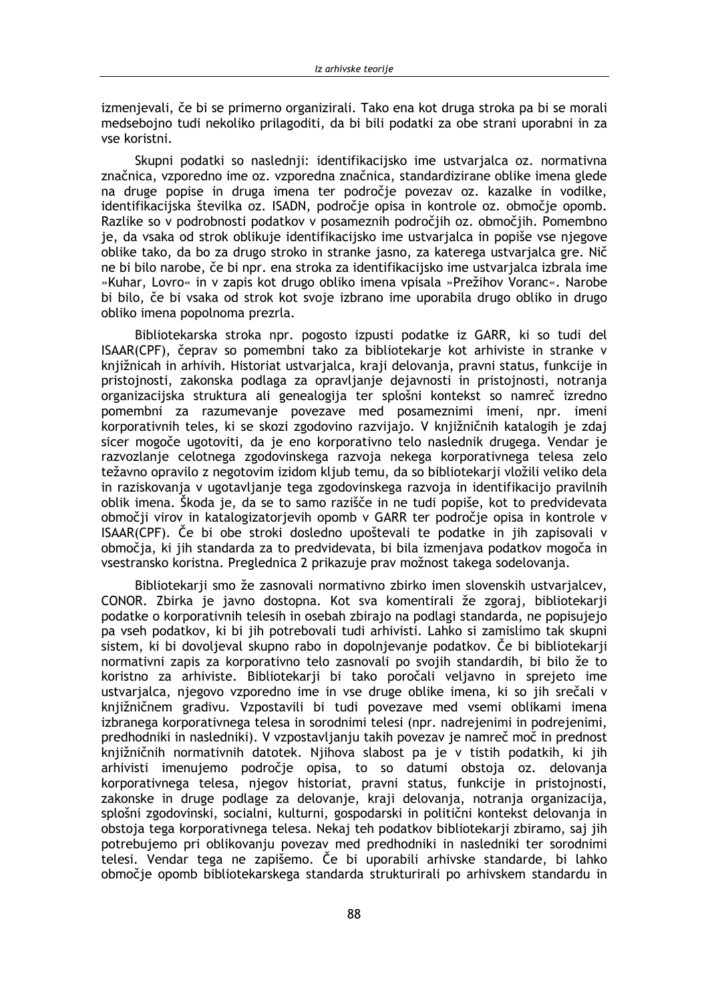izmenjevali, če bi se primerno organizirali. Tako ena kot druga stroka pa bi se morali medsebojno tudi nekoliko prilagoditi, da bi bili podatki za obe strani uporabni in za vse koristni.

Skupni podatki so naslednii: identifikacijsko ime ustvarialca oz. normativna značnica, vzporedno ime oz. vzporedna značnica, standardizirane oblike imena glede na druge popise in druga imena ter področje povezav oz. kazalke in vodilke, identifikacijska številka oz. ISADN, področje opisa in kontrole oz. območje opomb. Razlike so v podrobnosti podatkov v posameznih področjih oz. območjih. Pomembno je, da vsaka od strok oblikuje identifikacijsko ime ustvarjalca in popiše vse njegove oblike tako, da bo za drugo stroko in stranke jasno, za katerega ustvarjalca gre. Nič ne bi bilo narobe, če bi npr. ena stroka za identifikacijsko ime ustvarjalca izbrala ime »Kuhar, Lovro« in y zapis kot drugo obliko imena vpisala »Prežihov Voranc«. Narobe bi bilo, če bi vsaka od strok kot svoje izbrano ime uporabila drugo obliko in drugo obliko imena popolnoma prezrla.

Bibliotekarska stroka npr. pogosto izpusti podatke iz GARR, ki so tudi del ISAAR(CPF), čeprav so pomembni tako za bibliotekarje kot arhiviste in stranke v knjižnicah in arhivih. Historiat ustvarjalca, kraji delovanja, pravni status, funkcije in pristojnosti, zakonska podlaga za opravljanje dejavnosti in pristojnosti, notranja organizacijska struktura ali genealogija ter splošni kontekst so namreč izredno pomembni za razumevanje povezave med posameznimi imeni, npr. imeni korporativnih teles, ki se skozi zgodovino razvijajo. V knjižničnih katalogih je zdaj sicer mogoče ugotoviti, da je eno korporativno telo naslednik drugega. Vendar je razvozlanje celotnega zgodovinskega razvoja nekega korporativnega telesa zelo težavno opravilo z negotovim izidom kljub temu, da so bibliotekarji vložili veliko dela in raziskovanja v ugotavljanje tega zgodovinskega razvoja in identifikacijo pravilnih oblik imena. Škoda je, da se to samo razišče in ne tudi popiše, kot to predvidevata območij virov in katalogizatorievih opomb v GARR ter področie opisa in kontrole v ISAAR(CPF). Če bi obe stroki dosledno upoštevali te podatke in jih zapisovali v območia, ki jih standarda za to predvidevata, bi bila izmenjava podatkov mogoča in vsestransko koristna. Preglednica 2 prikazuje prav možnost takega sodelovanja.

Bibliotekarii smo že zasnovali normativno zbirko imen slovenskih ustvarialcev. CONOR. Zbirka je javno dostopna. Kot sva komentirali že zgoraj, bibliotekarji podatke o korporativnih telesih in osebah zbirajo na podlagi standarda, ne popisujejo pa vseh podatkov, ki bi jih potrebovali tudi arhivisti. Lahko si zamislimo tak skupni sistem, ki bi dovoljeval skupno rabo in dopolnjevanje podatkov. Če bi bibliotekarji normativni zapis za korporativno telo zasnovali po svojih standardih, bi bilo že to koristno za arhiviste. Bibliotekarji bi tako poročali veljavno in sprejeto ime ustvarjalca, njegovo vzporedno ime in vse druge oblike imena, ki so jih srečali v knjižničnem gradivu. Vzpostavili bi tudi povezave med vsemi oblikami imena izbranega korporativnega telesa in sorodnimi telesi (npr. nadrejenimi in podrejenimi, predhodniki in nasledniki). V vzpostavljanju takih povezav je namreč moč in prednost knjižničnih normativnih datotek. Njihova slabost pa je v tistih podatkih, ki jih arhivisti imenujemo področje opisa, to so datumi obstoja oz. delovanja korporativnega telesa, njegov historiat, pravni status, funkcije in pristojnosti, zakonske in druge podlage za delovanje, kraji delovanja, notranja organizacija, splošni zgodovinski, socialni, kulturni, gospodarski in politični kontekst delovanja in obstoja tega korporativnega telesa. Nekaj teh podatkov bibliotekarji zbiramo, saj jih potrebujemo pri oblikovanju povezav med predhodniki in nasledniki ter sorodnimi telesi. Vendar tega ne zapišemo. Če bi uporabili arhivske standarde, bi lahko območje opomb bibliotekarskega standarda strukturirali po arhivskem standardu in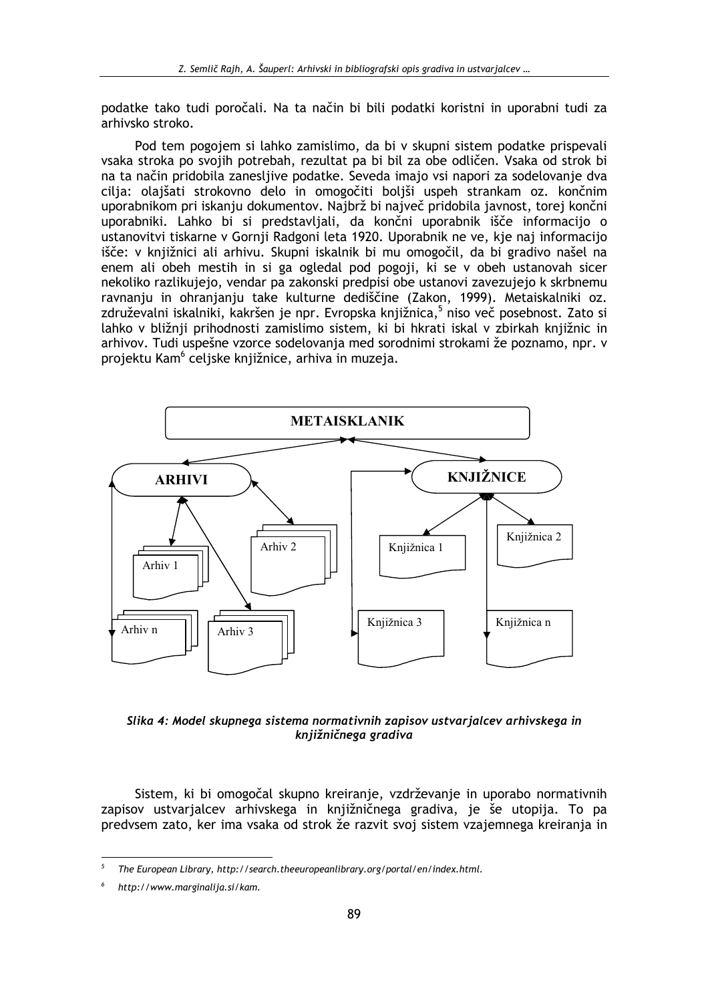podatke tako tudi poročali. Na ta način bi bili podatki koristni in uporabni tudi za arhivsko stroko.

Pod tem pogojem si lahko zamislimo, da bi v skupni sistem podatke prispevali vsaka stroka po svojih potrebah, rezultat pa bi bil za obe odličen. Vsaka od strok bi na ta način pridobila zanesljive podatke. Seveda imajo vsi napori za sodelovanje dva cilja: olajšati strokovno delo in omogočiti boljši uspeh strankam oz. končnim uporabnikom pri iskanju dokumentov. Najbrž bi največ pridobila javnost, torej končni uporabniki. Lahko bi si predstavljali, da končni uporabnik išče informacijo o ustanovitvi tiskarne v Gornji Radgoni leta 1920. Uporabnik ne ve, kje naj informacijo išče: v knjižnici ali arhivu. Skupni iskalnik bi mu omogočil, da bi gradivo našel na enem ali obeh mestih in si ga ogledal pod pogoji, ki se v obeh ustanovah sicer nekoliko razlikujejo, vendar pa zakonski predpisi obe ustanovi zavezujejo k skrbnemu ravnanju in ohranjanju take kulturne dediščine (Zakon, 1999). Metaiskalniki oz. združevalni iskalniki, kakršen je npr. Evropska knjižnica,<sup>5</sup> niso več posebnost. Zato si lahko v bližnji prihodnosti zamislimo sistem, ki bi hkrati iskal v zbirkah knjižnic in arhivov. Tudi uspešne vzorce sodelovanja med sorodnimi strokami že poznamo, npr. v projektu Kam<sup>6</sup> celjske knjižnice, arhiva in muzeja.



Slika 4: Model skupnega sistema normativnih zapisov ustvarjalcev arhivskega in knjižničnega gradiva

Sistem, ki bi omogočal skupno kreiranje, vzdrževanje in uporabo normativnih zapisov ustvarjalcev arhivskega in knjižničnega gradiva, je še utopija. To pa predvsem zato, ker ima vsaka od strok že razvit svoj sistem vzajemnega kreiranja in

 $\overline{5}$ The European Library, http://search.theeuropeanlibrary.org/portal/en/index.html.

http://www.marginalija.si/kam.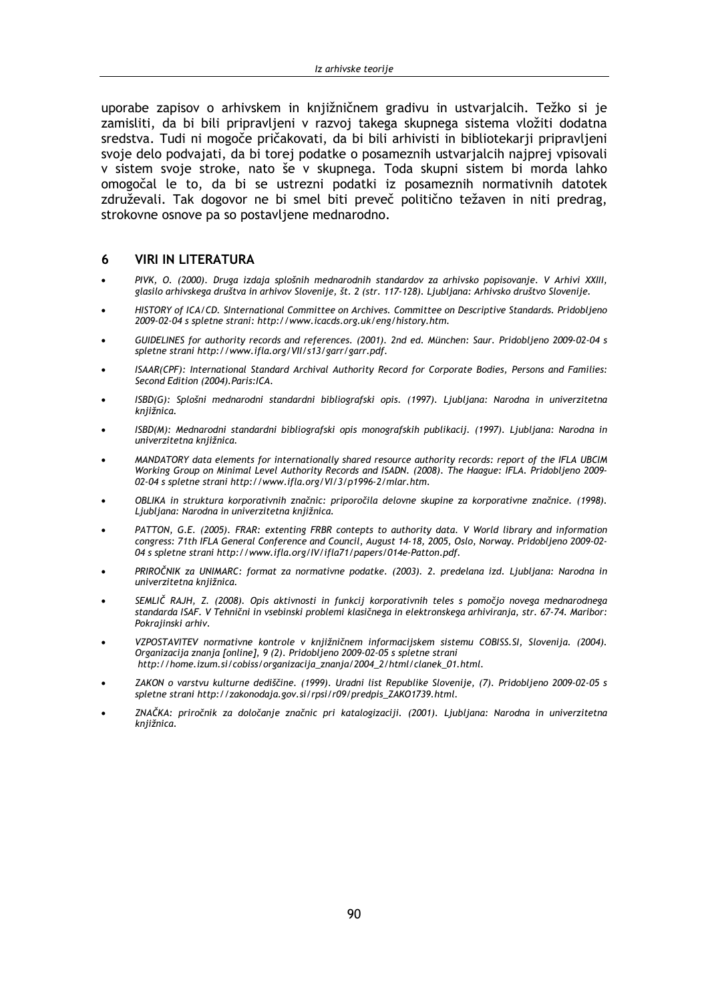uporabe zapisov o arhivskem in knjižničnem gradivu in ustvarjalcih. Težko si je zamisliti, da bi bili pripravljeni v razvoj takega skupnega sistema vložiti dodatna sredstva. Tudi ni mogoče pričakovati, da bi bili arhivisti in bibliotekarji pripravljeni svoje delo podvajati, da bi torej podatke o posameznih ustvarialcih najprej vpisovali v sistem svoje stroke, nato še v skupnega. Toda skupni sistem bi morda lahko omogočal le to, da bi se ustrezni podatki iz posameznih normativnih datotek združevali. Tak dogovor ne bi smel biti preveč politično težaven in niti predrag, strokovne osnove pa so postavljene mednarodno.

#### **VIRI IN LITERATURA** 6

- PIVK, O. (2000). Druga izdaja splošnih mednarodnih standardov za arhivsko popisovanje. V Arhivi XXIII, glasilo arhivskega društva in arhivov Slovenije, št. 2 (str. 117-128). Ljubljana: Arhivsko društvo Slovenije.
- HISTORY of ICA/CD, SInternational Committee on Archives, Committee on Descriptive Standards, Pridoblieno 2009-02-04 s spletne strani: http://www.icacds.org.uk/eng/history.htm.
- GUIDELINES for authority records and references. (2001). 2nd ed. München: Saur. Pridobljeno 2009-02-04 s spletne strani http://www.ifla.org/VII/s13/garr/garr.pdf.
- ISAAR(CPF): International Standard Archival Authority Record for Corporate Bodies, Persons and Families: Second Edition (2004). Paris: ICA.
- ISBD(G): Splošni mednarodni standardni bibliografski opis. (1997). Ljubljana: Narodna in univerzitetna kniižnica.
- ISBD(M): Mednarodni standardni bibliografski opis monografskih publikacij. (1997). Ljubljana: Narodna in univerzitetna knjižnica.
- MANDATORY data elements for internationally shared resource authority records: report of the IFLA UBCIM Working Group on Minimal Level Authority Records and ISADN. (2008). The Haague: IFLA. Pridobljeno 2009-02-04 s spletne strani http://www.ifla.org/VI/3/p1996-2/mlar.htm.
- OBLIKA in struktura korporativnih značnic: priporočila delovne skupine za korporativne značnice. (1998). Ljubljana: Narodna in univerzitetna knjižnica.
- PATTON, G.E. (2005). FRAR: extenting FRBR contepts to authority data. V World library and information congress: 71th IFLA General Conference and Council, August 14-18, 2005, Oslo, Norway. Pridobljeno 2009-02-04 s spletne strani http://www.ifla.org/IV/ifla71/papers/014e-Patton.pdf.
- PRIROČNIK za UNIMARC: format za normativne podatke. (2003). 2. predelana izd. Ljubljana: Narodna in univerzitetna knjižnica.
- SEMLIČ RAJH, Z. (2008). Opis aktivnosti in funkcij korporativnih teles s pomočjo novega mednarodnega standarda ISAF. V Tehnični in vsebinski problemi klasičnega in elektronskega arhiviranja, str. 67-74. Maribor: Pokrajinski arhiv.
- VZPOSTAVITEV normativne kontrole v kniižničnem informacijskem sistemu COBISS. SI, Slovenija, (2004), Organizacija znanja [online], 9 (2). Pridobljeno 2009-02-05 s spletne strani http://home.izum.si/cobiss/organizacija\_znanja/2004\_2/html/clanek\_01.html.
- ZAKON o varstvu kulturne dediščine. (1999). Uradni list Republike Slovenije, (7). Pridobljeno 2009-02-05 s spletne strani http://zakonodaja.gov.si/rpsi/r09/predpis\_ZAK01739.html.
- ZNAČKA: priročnik za določanje značnic pri katalogizaciji. (2001). Ljubljana: Narodna in univerzitetna kniižnica.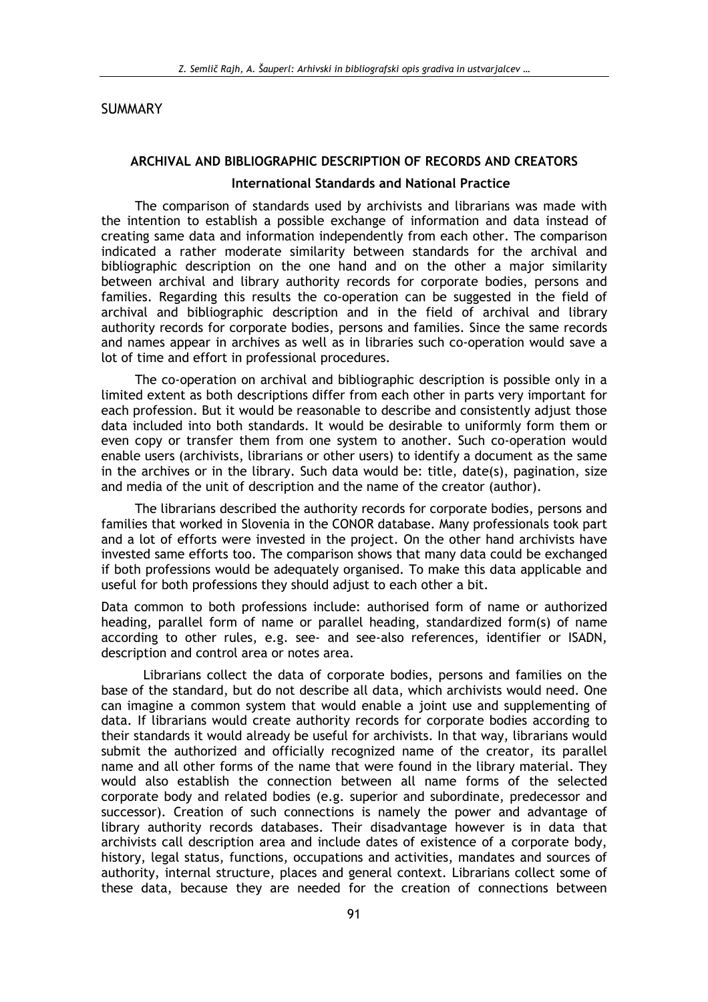### **SUMMARY**

### ARCHIVAL AND BIBLIOGRAPHIC DESCRIPTION OF RECORDS AND CREATORS

### **International Standards and National Practice**

The comparison of standards used by archivists and librarians was made with the intention to establish a possible exchange of information and data instead of creating same data and information independently from each other. The comparison indicated a rather moderate similarity between standards for the archival and bibliographic description on the one hand and on the other a major similarity between archival and library authority records for corporate bodies, persons and families. Regarding this results the co-operation can be suggested in the field of archival and bibliographic description and in the field of archival and library authority records for corporate bodies, persons and families. Since the same records and names appear in archives as well as in libraries such co-operation would save a lot of time and effort in professional procedures.

The co-operation on archival and bibliographic description is possible only in a limited extent as both descriptions differ from each other in parts very important for each profession. But it would be reasonable to describe and consistently adjust those data included into both standards. It would be desirable to uniformly form them or even copy or transfer them from one system to another. Such co-operation would enable users (archivists, librarians or other users) to identify a document as the same in the archives or in the library. Such data would be: title, date(s), pagination, size and media of the unit of description and the name of the creator (author).

The librarians described the authority records for corporate bodies, persons and families that worked in Slovenia in the CONOR database. Many professionals took part and a lot of efforts were invested in the project. On the other hand archivists have invested same efforts too. The comparison shows that many data could be exchanged if both professions would be adequately organised. To make this data applicable and useful for both professions they should adjust to each other a bit.

Data common to both professions include: authorised form of name or authorized heading, parallel form of name or parallel heading, standardized form(s) of name according to other rules, e.g. see- and see-also references, identifier or ISADN, description and control area or notes area.

Librarians collect the data of corporate bodies, persons and families on the base of the standard, but do not describe all data, which archivists would need. One can imagine a common system that would enable a joint use and supplementing of data. If librarians would create authority records for corporate bodies according to their standards it would already be useful for archivists. In that way, librarians would submit the authorized and officially recognized name of the creator, its parallel name and all other forms of the name that were found in the library material. They would also establish the connection between all name forms of the selected corporate body and related bodies (e.g. superior and subordinate, predecessor and successor). Creation of such connections is namely the power and advantage of library authority records databases. Their disadvantage however is in data that archivists call description area and include dates of existence of a corporate body, history, legal status, functions, occupations and activities, mandates and sources of authority, internal structure, places and general context. Librarians collect some of these data, because they are needed for the creation of connections between